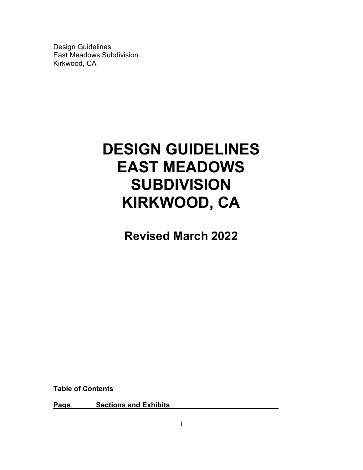# **DESIGN GUIDELINES EAST MEADOWS SUBDIVISION KIRKWOOD, CA**

**Revised March 2022**

**Table of Contents**

**Page Sections and Exhibits**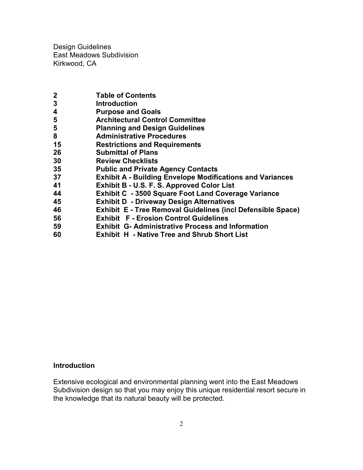- **2 Table of Contents**
- **3 Introduction**
- **4 Purpose and Goals**
- **5 Architectural Control Committee**
- **5 Planning and Design Guidelines**
- **8 Administrative Procedures**
- **15 Restrictions and Requirements**
- **26 Submittal of Plans**
- **30 Review Checklists**
- **35 Public and Private Agency Contacts**
- **37 Exhibit A - Building Envelope Modifications and Variances**
- **41 Exhibit B - U.S. F. S. Approved Color List**
- **44 Exhibit C - 3500 Square Foot Land Coverage Variance**
- **45 Exhibit D - Driveway Design Alternatives**
- **46 Exhibit E - Tree Removal Guidelines (incl Defensible Space)**
- **56 Exhibit F - Erosion Control Guidelines**
- **59 Exhibit G- Administrative Process and Information**
- **60 Exhibit H - Native Tree and Shrub Short List**

## **Introduction**

Extensive ecological and environmental planning went into the East Meadows Subdivision design so that you may enjoy this unique residential resort secure in the knowledge that its natural beauty will be protected.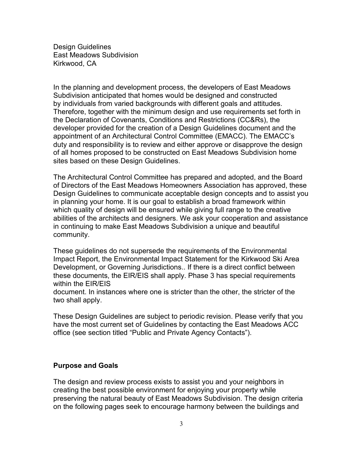In the planning and development process, the developers of East Meadows Subdivision anticipated that homes would be designed and constructed by individuals from varied backgrounds with different goals and attitudes. Therefore, together with the minimum design and use requirements set forth in the Declaration of Covenants, Conditions and Restrictions (CC&Rs), the developer provided for the creation of a Design Guidelines document and the appointment of an Architectural Control Committee (EMACC). The EMACC's duty and responsibility is to review and either approve or disapprove the design of all homes proposed to be constructed on East Meadows Subdivision home sites based on these Design Guidelines.

The Architectural Control Committee has prepared and adopted, and the Board of Directors of the East Meadows Homeowners Association has approved, these Design Guidelines to communicate acceptable design concepts and to assist you in planning your home. It is our goal to establish a broad framework within which quality of design will be ensured while giving full range to the creative abilities of the architects and designers. We ask your cooperation and assistance in continuing to make East Meadows Subdivision a unique and beautiful community.

These guidelines do not supersede the requirements of the Environmental Impact Report, the Environmental Impact Statement for the Kirkwood Ski Area Development, or Governing Jurisdictions.. If there is a direct conflict between these documents, the EIR/EIS shall apply. Phase 3 has special requirements within the EIR/EIS

document. In instances where one is stricter than the other, the stricter of the two shall apply.

These Design Guidelines are subject to periodic revision. Please verify that you have the most current set of Guidelines by contacting the East Meadows ACC office (see section titled "Public and Private Agency Contacts").

## **Purpose and Goals**

The design and review process exists to assist you and your neighbors in creating the best possible environment for enjoying your property while preserving the natural beauty of East Meadows Subdivision. The design criteria on the following pages seek to encourage harmony between the buildings and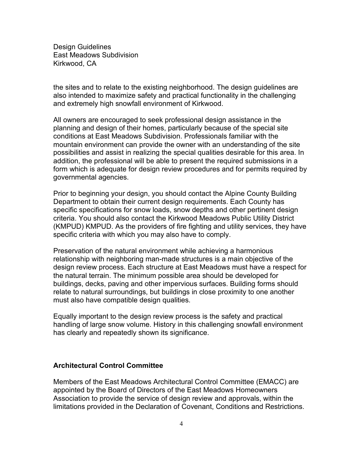the sites and to relate to the existing neighborhood. The design guidelines are also intended to maximize safety and practical functionality in the challenging and extremely high snowfall environment of Kirkwood.

All owners are encouraged to seek professional design assistance in the planning and design of their homes, particularly because of the special site conditions at East Meadows Subdivision. Professionals familiar with the mountain environment can provide the owner with an understanding of the site possibilities and assist in realizing the special qualities desirable for this area. In addition, the professional will be able to present the required submissions in a form which is adequate for design review procedures and for permits required by governmental agencies.

Prior to beginning your design, you should contact the Alpine County Building Department to obtain their current design requirements. Each County has specific specifications for snow loads, snow depths and other pertinent design criteria. You should also contact the Kirkwood Meadows Public Utility District (KMPUD) KMPUD. As the providers of fire fighting and utility services, they have specific criteria with which you may also have to comply.

Preservation of the natural environment while achieving a harmonious relationship with neighboring man-made structures is a main objective of the design review process. Each structure at East Meadows must have a respect for the natural terrain. The minimum possible area should be developed for buildings, decks, paving and other impervious surfaces. Building forms should relate to natural surroundings, but buildings in close proximity to one another must also have compatible design qualities.

Equally important to the design review process is the safety and practical handling of large snow volume. History in this challenging snowfall environment has clearly and repeatedly shown its significance.

## **Architectural Control Committee**

Members of the East Meadows Architectural Control Committee (EMACC) are appointed by the Board of Directors of the East Meadows Homeowners Association to provide the service of design review and approvals, within the limitations provided in the Declaration of Covenant, Conditions and Restrictions.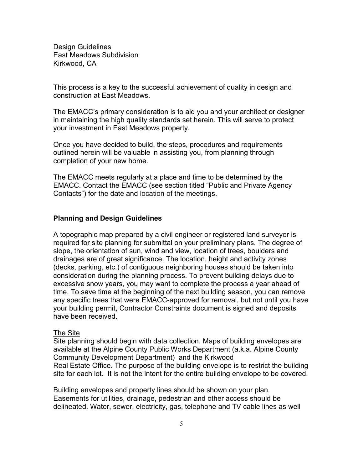This process is a key to the successful achievement of quality in design and construction at East Meadows.

The EMACC's primary consideration is to aid you and your architect or designer in maintaining the high quality standards set herein. This will serve to protect your investment in East Meadows property.

Once you have decided to build, the steps, procedures and requirements outlined herein will be valuable in assisting you, from planning through completion of your new home.

The EMACC meets regularly at a place and time to be determined by the EMACC. Contact the EMACC (see section titled "Public and Private Agency Contacts") for the date and location of the meetings.

## **Planning and Design Guidelines**

A topographic map prepared by a civil engineer or registered land surveyor is required for site planning for submittal on your preliminary plans. The degree of slope, the orientation of sun, wind and view, location of trees, boulders and drainages are of great significance. The location, height and activity zones (decks, parking, etc.) of contiguous neighboring houses should be taken into consideration during the planning process. To prevent building delays due to excessive snow years, you may want to complete the process a year ahead of time. To save time at the beginning of the next building season, you can remove any specific trees that were EMACC-approved for removal, but not until you have your building permit, Contractor Constraints document is signed and deposits have been received.

## The Site

Site planning should begin with data collection. Maps of building envelopes are available at the Alpine County Public Works Department (a.k.a. Alpine County Community Development Department) and the Kirkwood Real Estate Office. The purpose of the building envelope is to restrict the building site for each lot. It is not the intent for the entire building envelope to be covered.

Building envelopes and property lines should be shown on your plan. Easements for utilities, drainage, pedestrian and other access should be delineated. Water, sewer, electricity, gas, telephone and TV cable lines as well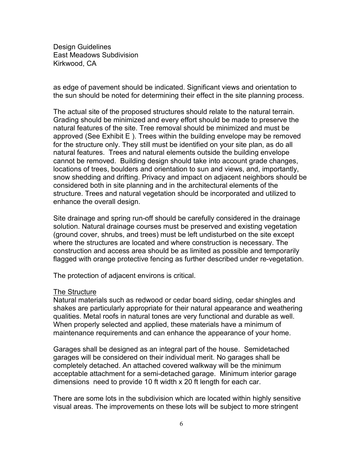as edge of pavement should be indicated. Significant views and orientation to the sun should be noted for determining their effect in the site planning process.

The actual site of the proposed structures should relate to the natural terrain. Grading should be minimized and every effort should be made to preserve the natural features of the site. Tree removal should be minimized and must be approved (See Exhibit E ). Trees within the building envelope may be removed for the structure only. They still must be identified on your site plan, as do all natural features. Trees and natural elements outside the building envelope cannot be removed. Building design should take into account grade changes, locations of trees, boulders and orientation to sun and views, and, importantly, snow shedding and drifting. Privacy and impact on adjacent neighbors should be considered both in site planning and in the architectural elements of the structure. Trees and natural vegetation should be incorporated and utilized to enhance the overall design.

Site drainage and spring run-off should be carefully considered in the drainage solution. Natural drainage courses must be preserved and existing vegetation (ground cover, shrubs, and trees) must be left undisturbed on the site except where the structures are located and where construction is necessary. The construction and access area should be as limited as possible and temporarily flagged with orange protective fencing as further described under re-vegetation.

The protection of adjacent environs is critical.

#### The Structure

Natural materials such as redwood or cedar board siding, cedar shingles and shakes are particularly appropriate for their natural appearance and weathering qualities. Metal roofs in natural tones are very functional and durable as well. When properly selected and applied, these materials have a minimum of maintenance requirements and can enhance the appearance of your home.

Garages shall be designed as an integral part of the house. Semidetached garages will be considered on their individual merit. No garages shall be completely detached. An attached covered walkway will be the minimum acceptable attachment for a semi-detached garage. Minimum interior garage dimensions need to provide 10 ft width x 20 ft length for each car.

There are some lots in the subdivision which are located within highly sensitive visual areas. The improvements on these lots will be subject to more stringent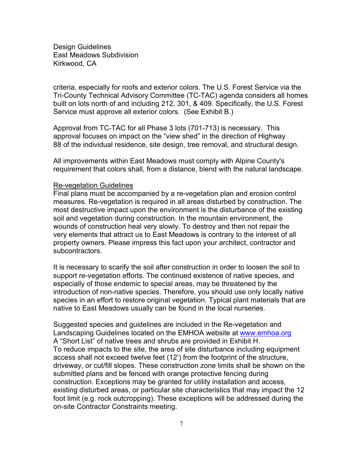criteria, especially for roofs and exterior colors. The U.S. Forest Service via the Tri-County Technical Advisory Committee (TC-TAC) agenda considers all homes built on lots north of and including 212, 301, & 409. Specifically, the U.S. Forest Service must approve all exterior colors. (See Exhibit B.)

Approval from TC-TAC for all Phase 3 lots (701-713) is necessary. This approval focuses on impact on the "view shed" in the direction of Highway 88 of the individual residence, site design, tree removal, and structural design.

All improvements within East Meadows must comply with Alpine County's requirement that colors shall, from a distance, blend with the natural landscape.

#### Re-vegetation Guidelines

Final plans must be accompanied by a re-vegetation plan and erosion control measures. Re-vegetation is required in all areas disturbed by construction. The most destructive impact upon the environment is the disturbance of the existing soil and vegetation during construction. In the mountain environment, the wounds of construction heal very slowly. To destroy and then not repair the very elements that attract us to East Meadows is contrary to the interest of all property owners. Please impress this fact upon your architect, contractor and subcontractors.

It is necessary to scarify the soil after construction in order to loosen the soil to support re-vegetation efforts. The continued existence of native species, and especially of those endemic to special areas, may be threatened by the introduction of non-native species. Therefore, you should use only locally native species in an effort to restore original vegetation. Typical plant materials that are native to East Meadows usually can be found in the local nurseries.

Suggested species and guidelines are included in the Re-vegetation and Landscaping Guidelines located on the EMHOA website at www.emhoa.org A "Short List" of native trees and shrubs are provided in Exhibit H. To reduce impacts to the site, the area of site disturbance including equipment access shall not exceed twelve feet (12') from the footprint of the structure, driveway, or cut/fill slopes. These construction zone limits shall be shown on the submitted plans and be fenced with orange protective fencing during construction. Exceptions may be granted for utility installation and access, existing disturbed areas, or particular site characteristics that may impact the 12 foot limit (e.g. rock outcropping). These exceptions will be addressed during the on-site Contractor Constraints meeting.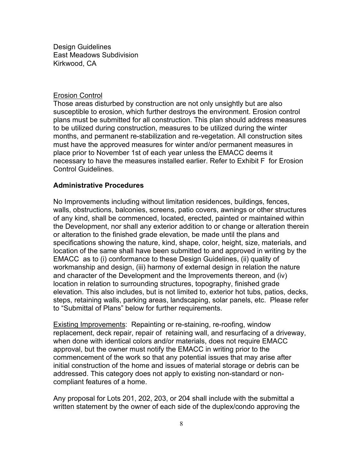#### Erosion Control

Those areas disturbed by construction are not only unsightly but are also susceptible to erosion, which further destroys the environment. Erosion control plans must be submitted for all construction. This plan should address measures to be utilized during construction, measures to be utilized during the winter months, and permanent re-stabilization and re-vegetation. All construction sites must have the approved measures for winter and/or permanent measures in place prior to November 1st of each year unless the EMACC deems it necessary to have the measures installed earlier. Refer to Exhibit F for Erosion Control Guidelines.

## **Administrative Procedures**

No Improvements including without limitation residences, buildings, fences, walls, obstructions, balconies, screens, patio covers, awnings or other structures of any kind, shall be commenced, located, erected, painted or maintained within the Development, nor shall any exterior addition to or change or alteration therein or alteration to the finished grade elevation, be made until the plans and specifications showing the nature, kind, shape, color, height, size, materials, and location of the same shall have been submitted to and approved in writing by the EMACC as to (i) conformance to these Design Guidelines, (ii) quality of workmanship and design, (iii) harmony of external design in relation the nature and character of the Development and the Improvements thereon, and (iv) location in relation to surrounding structures, topography, finished grade elevation. This also includes, but is not limited to, exterior hot tubs, patios, decks, steps, retaining walls, parking areas, landscaping, solar panels, etc. Please refer to "Submittal of Plans" below for further requirements.

Existing Improvements: Repainting or re-staining, re-roofing, window replacement, deck repair, repair of retaining wall, and resurfacing of a driveway, when done with identical colors and/or materials, does not require EMACC approval, but the owner must notify the EMACC in writing prior to the commencement of the work so that any potential issues that may arise after initial construction of the home and issues of material storage or debris can be addressed. This category does not apply to existing non-standard or noncompliant features of a home.

Any proposal for Lots 201, 202, 203, or 204 shall include with the submittal a written statement by the owner of each side of the duplex/condo approving the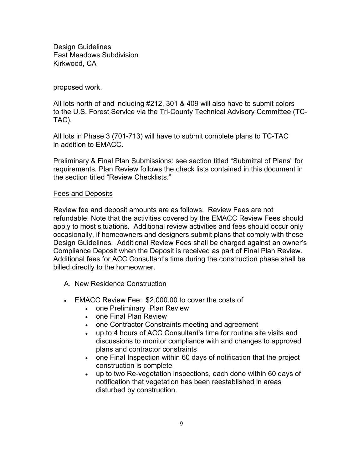## proposed work.

All lots north of and including #212, 301 & 409 will also have to submit colors to the U.S. Forest Service via the Tri-County Technical Advisory Committee (TC-TAC).

All lots in Phase 3 (701-713) will have to submit complete plans to TC-TAC in addition to EMACC.

Preliminary & Final Plan Submissions: see section titled "Submittal of Plans" for requirements. Plan Review follows the check lists contained in this document in the section titled "Review Checklists."

# Fees and Deposits

Review fee and deposit amounts are as follows. Review Fees are not refundable. Note that the activities covered by the EMACC Review Fees should apply to most situations. Additional review activities and fees should occur only occasionally, if homeowners and designers submit plans that comply with these Design Guidelines. Additional Review Fees shall be charged against an owner's Compliance Deposit when the Deposit is received as part of Final Plan Review. Additional fees for ACC Consultant's time during the construction phase shall be billed directly to the homeowner.

- A. New Residence Construction
- EMACC Review Fee: \$2,000.00 to cover the costs of
	- one Preliminary Plan Review
	- one Final Plan Review
	- one Contractor Constraints meeting and agreement
	- up to 4 hours of ACC Consultant's time for routine site visits and discussions to monitor compliance with and changes to approved plans and contractor constraints
	- one Final Inspection within 60 days of notification that the project construction is complete
	- up to two Re-vegetation inspections, each done within 60 days of notification that vegetation has been reestablished in areas disturbed by construction.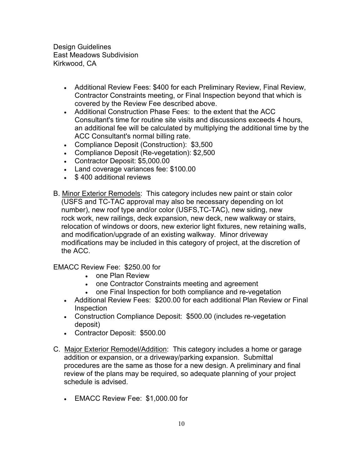- Additional Review Fees: \$400 for each Preliminary Review, Final Review, Contractor Constraints meeting, or Final Inspection beyond that which is covered by the Review Fee described above.
- Additional Construction Phase Fees: to the extent that the ACC Consultant's time for routine site visits and discussions exceeds 4 hours, an additional fee will be calculated by multiplying the additional time by the ACC Consultant's normal billing rate.
- Compliance Deposit (Construction): \$3,500
- Compliance Deposit (Re-vegetation): \$2,500
- Contractor Deposit: \$5,000.00
- Land coverage variances fee: \$100.00
- \$ 400 additional reviews
- B. Minor Exterior Remodels: This category includes new paint or stain color (USFS and TC-TAC approval may also be necessary depending on lot number), new roof type and/or color (USFS,TC-TAC), new siding, new rock work, new railings, deck expansion, new deck, new walkway or stairs, relocation of windows or doors, new exterior light fixtures, new retaining walls, and modification/upgrade of an existing walkway. Minor driveway modifications may be included in this category of project, at the discretion of the ACC.

# EMACC Review Fee: \$250.00 for

- one Plan Review
- one Contractor Constraints meeting and agreement
- one Final Inspection for both compliance and re-vegetation
- Additional Review Fees: \$200.00 for each additional Plan Review or Final **Inspection**
- Construction Compliance Deposit: \$500.00 (includes re-vegetation deposit)
- Contractor Deposit: \$500.00
- C. Major Exterior Remodel/Addition: This category includes a home or garage addition or expansion, or a driveway/parking expansion. Submittal procedures are the same as those for a new design. A preliminary and final review of the plans may be required, so adequate planning of your project schedule is advised.
	- EMACC Review Fee: \$1,000.00 for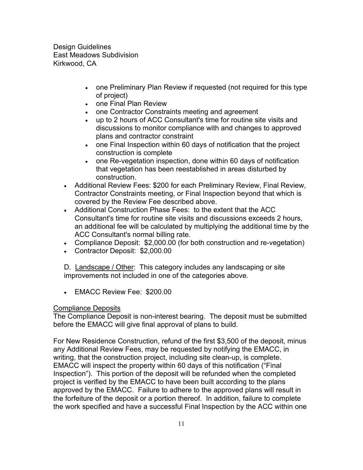- one Preliminary Plan Review if requested (not required for this type of project)
- one Final Plan Review
- one Contractor Constraints meeting and agreement
- up to 2 hours of ACC Consultant's time for routine site visits and discussions to monitor compliance with and changes to approved plans and contractor constraint
- one Final Inspection within 60 days of notification that the project construction is complete
- one Re-vegetation inspection, done within 60 days of notification that vegetation has been reestablished in areas disturbed by construction.
- Additional Review Fees: \$200 for each Preliminary Review, Final Review, Contractor Constraints meeting, or Final Inspection beyond that which is covered by the Review Fee described above.
- Additional Construction Phase Fees: to the extent that the ACC Consultant's time for routine site visits and discussions exceeds 2 hours, an additional fee will be calculated by multiplying the additional time by the ACC Consultant's normal billing rate.
- Compliance Deposit: \$2,000.00 (for both construction and re-vegetation)
- Contractor Deposit: \$2,000.00

D. Landscape / Other: This category includes any landscaping or site improvements not included in one of the categories above.

• EMACC Review Fee: \$200.00

## Compliance Deposits

The Compliance Deposit is non-interest bearing. The deposit must be submitted before the EMACC will give final approval of plans to build.

For New Residence Construction, refund of the first \$3,500 of the deposit, minus any Additional Review Fees, may be requested by notifying the EMACC, in writing, that the construction project, including site clean-up, is complete. EMACC will inspect the property within 60 days of this notification ("Final Inspection"). This portion of the deposit will be refunded when the completed project is verified by the EMACC to have been built according to the plans approved by the EMACC. Failure to adhere to the approved plans will result in the forfeiture of the deposit or a portion thereof. In addition, failure to complete the work specified and have a successful Final Inspection by the ACC within one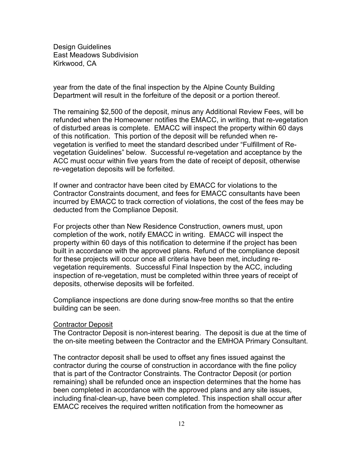year from the date of the final inspection by the Alpine County Building Department will result in the forfeiture of the deposit or a portion thereof.

The remaining \$2,500 of the deposit, minus any Additional Review Fees, will be refunded when the Homeowner notifies the EMACC, in writing, that re-vegetation of disturbed areas is complete. EMACC will inspect the property within 60 days of this notification. This portion of the deposit will be refunded when revegetation is verified to meet the standard described under "Fulfillment of Revegetation Guidelines" below. Successful re-vegetation and acceptance by the ACC must occur within five years from the date of receipt of deposit, otherwise re-vegetation deposits will be forfeited.

If owner and contractor have been cited by EMACC for violations to the Contractor Constraints document, and fees for EMACC consultants have been incurred by EMACC to track correction of violations, the cost of the fees may be deducted from the Compliance Deposit.

For projects other than New Residence Construction, owners must, upon completion of the work, notify EMACC in writing. EMACC will inspect the property within 60 days of this notification to determine if the project has been built in accordance with the approved plans. Refund of the compliance deposit for these projects will occur once all criteria have been met, including revegetation requirements. Successful Final Inspection by the ACC, including inspection of re-vegetation, must be completed within three years of receipt of deposits, otherwise deposits will be forfeited.

Compliance inspections are done during snow-free months so that the entire building can be seen.

## **Contractor Deposit**

The Contractor Deposit is non-interest bearing. The deposit is due at the time of the on-site meeting between the Contractor and the EMHOA Primary Consultant.

The contractor deposit shall be used to offset any fines issued against the contractor during the course of construction in accordance with the fine policy that is part of the Contractor Constraints. The Contractor Deposit (or portion remaining) shall be refunded once an inspection determines that the home has been completed in accordance with the approved plans and any site issues, including final-clean-up, have been completed. This inspection shall occur after EMACC receives the required written notification from the homeowner as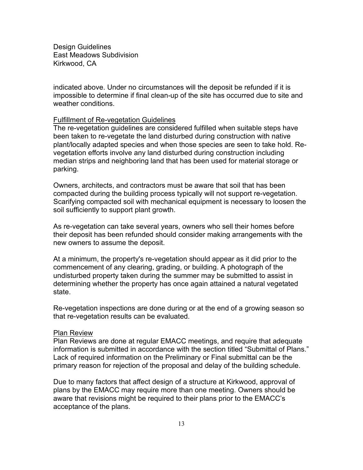indicated above. Under no circumstances will the deposit be refunded if it is impossible to determine if final clean-up of the site has occurred due to site and weather conditions.

#### Fulfillment of Re-vegetation Guidelines

The re-vegetation guidelines are considered fulfilled when suitable steps have been taken to re-vegetate the land disturbed during construction with native plant/locally adapted species and when those species are seen to take hold. Revegetation efforts involve any land disturbed during construction including median strips and neighboring land that has been used for material storage or parking.

Owners, architects, and contractors must be aware that soil that has been compacted during the building process typically will not support re-vegetation. Scarifying compacted soil with mechanical equipment is necessary to loosen the soil sufficiently to support plant growth.

As re-vegetation can take several years, owners who sell their homes before their deposit has been refunded should consider making arrangements with the new owners to assume the deposit.

At a minimum, the property's re-vegetation should appear as it did prior to the commencement of any clearing, grading, or building. A photograph of the undisturbed property taken during the summer may be submitted to assist in determining whether the property has once again attained a natural vegetated state.

Re-vegetation inspections are done during or at the end of a growing season so that re-vegetation results can be evaluated.

## Plan Review

Plan Reviews are done at regular EMACC meetings, and require that adequate information is submitted in accordance with the section titled "Submittal of Plans." Lack of required information on the Preliminary or Final submittal can be the primary reason for rejection of the proposal and delay of the building schedule.

Due to many factors that affect design of a structure at Kirkwood, approval of plans by the EMACC may require more than one meeting. Owners should be aware that revisions might be required to their plans prior to the EMACC's acceptance of the plans.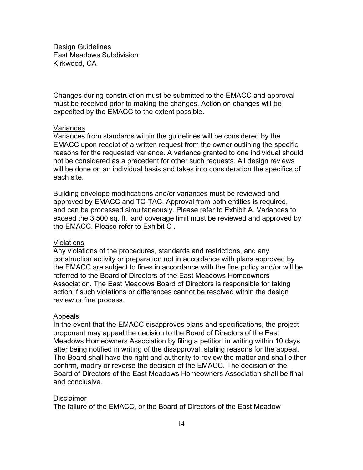Changes during construction must be submitted to the EMACC and approval must be received prior to making the changes. Action on changes will be expedited by the EMACC to the extent possible.

#### Variances

Variances from standards within the guidelines will be considered by the EMACC upon receipt of a written request from the owner outlining the specific reasons for the requested variance. A variance granted to one individual should not be considered as a precedent for other such requests. All design reviews will be done on an individual basis and takes into consideration the specifics of each site.

Building envelope modifications and/or variances must be reviewed and approved by EMACC and TC-TAC. Approval from both entities is required, and can be processed simultaneously. Please refer to Exhibit A. Variances to exceed the 3,500 sq. ft. land coverage limit must be reviewed and approved by the EMACC. Please refer to Exhibit C .

#### Violations

Any violations of the procedures, standards and restrictions, and any construction activity or preparation not in accordance with plans approved by the EMACC are subject to fines in accordance with the fine policy and/or will be referred to the Board of Directors of the East Meadows Homeowners Association. The East Meadows Board of Directors is responsible for taking action if such violations or differences cannot be resolved within the design review or fine process.

#### Appeals

In the event that the EMACC disapproves plans and specifications, the project proponent may appeal the decision to the Board of Directors of the East Meadows Homeowners Association by filing a petition in writing within 10 days after being notified in writing of the disapproval, stating reasons for the appeal. The Board shall have the right and authority to review the matter and shall either confirm, modify or reverse the decision of the EMACC. The decision of the Board of Directors of the East Meadows Homeowners Association shall be final and conclusive.

## **Disclaimer**

The failure of the EMACC, or the Board of Directors of the East Meadow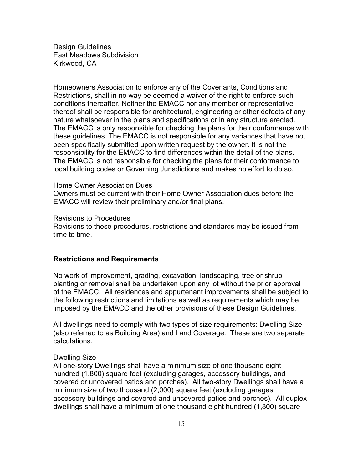Homeowners Association to enforce any of the Covenants, Conditions and Restrictions, shall in no way be deemed a waiver of the right to enforce such conditions thereafter. Neither the EMACC nor any member or representative thereof shall be responsible for architectural, engineering or other defects of any nature whatsoever in the plans and specifications or in any structure erected. The EMACC is only responsible for checking the plans for their conformance with these guidelines. The EMACC is not responsible for any variances that have not been specifically submitted upon written request by the owner. It is not the responsibility for the EMACC to find differences within the detail of the plans. The EMACC is not responsible for checking the plans for their conformance to local building codes or Governing Jurisdictions and makes no effort to do so.

#### Home Owner Association Dues

Owners must be current with their Home Owner Association dues before the EMACC will review their preliminary and/or final plans.

#### Revisions to Procedures

Revisions to these procedures, restrictions and standards may be issued from time to time.

#### **Restrictions and Requirements**

No work of improvement, grading, excavation, landscaping, tree or shrub planting or removal shall be undertaken upon any lot without the prior approval of the EMACC. All residences and appurtenant improvements shall be subject to the following restrictions and limitations as well as requirements which may be imposed by the EMACC and the other provisions of these Design Guidelines.

All dwellings need to comply with two types of size requirements: Dwelling Size (also referred to as Building Area) and Land Coverage. These are two separate calculations.

#### Dwelling Size

All one-story Dwellings shall have a minimum size of one thousand eight hundred (1,800) square feet (excluding garages, accessory buildings, and covered or uncovered patios and porches). All two-story Dwellings shall have a minimum size of two thousand (2,000) square feet (excluding garages, accessory buildings and covered and uncovered patios and porches). All duplex dwellings shall have a minimum of one thousand eight hundred (1,800) square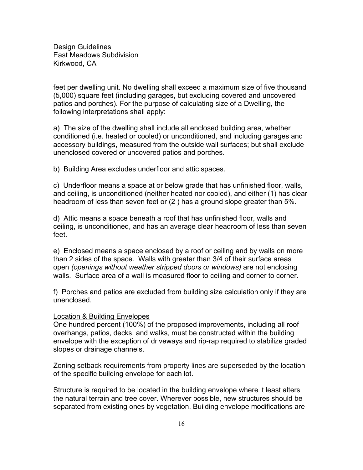feet per dwelling unit. No dwelling shall exceed a maximum size of five thousand (5,000) square feet (including garages, but excluding covered and uncovered patios and porches). For the purpose of calculating size of a Dwelling, the following interpretations shall apply:

a) The size of the dwelling shall include all enclosed building area, whether conditioned (i.e. heated or cooled) or unconditioned, and including garages and accessory buildings, measured from the outside wall surfaces; but shall exclude unenclosed covered or uncovered patios and porches.

b) Building Area excludes underfloor and attic spaces.

c) Underfloor means a space at or below grade that has unfinished floor, walls, and ceiling, is unconditioned (neither heated nor cooled), and either (1) has clear headroom of less than seven feet or (2 ) has a ground slope greater than 5%.

d) Attic means a space beneath a roof that has unfinished floor, walls and ceiling, is unconditioned, and has an average clear headroom of less than seven feet.

e) Enclosed means a space enclosed by a roof or ceiling and by walls on more than 2 sides of the space. Walls with greater than 3/4 of their surface areas open *(openings without weather stripped doors or windows)* are not enclosing walls. Surface area of a wall is measured floor to ceiling and corner to corner.

f) Porches and patios are excluded from building size calculation only if they are unenclosed.

#### Location & Building Envelopes

One hundred percent (100%) of the proposed improvements, including all roof overhangs, patios, decks, and walks, must be constructed within the building envelope with the exception of driveways and rip-rap required to stabilize graded slopes or drainage channels.

Zoning setback requirements from property lines are superseded by the location of the specific building envelope for each lot.

Structure is required to be located in the building envelope where it least alters the natural terrain and tree cover. Wherever possible, new structures should be separated from existing ones by vegetation. Building envelope modifications are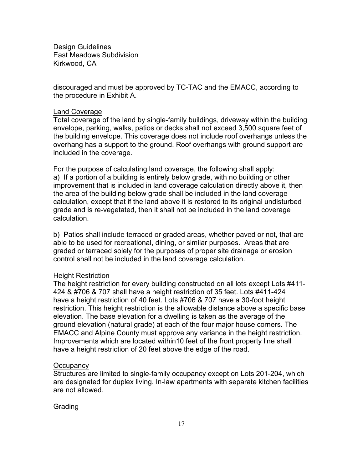discouraged and must be approved by TC-TAC and the EMACC, according to the procedure in Exhibit A.

## Land Coverage

Total coverage of the land by single-family buildings, driveway within the building envelope, parking, walks, patios or decks shall not exceed 3,500 square feet of the building envelope. This coverage does not include roof overhangs unless the overhang has a support to the ground. Roof overhangs with ground support are included in the coverage.

For the purpose of calculating land coverage, the following shall apply: a) If a portion of a building is entirely below grade, with no building or other improvement that is included in land coverage calculation directly above it, then the area of the building below grade shall be included in the land coverage calculation, except that if the land above it is restored to its original undisturbed grade and is re-vegetated, then it shall not be included in the land coverage calculation.

b) Patios shall include terraced or graded areas, whether paved or not, that are able to be used for recreational, dining, or similar purposes. Areas that are graded or terraced solely for the purposes of proper site drainage or erosion control shall not be included in the land coverage calculation.

## Height Restriction

The height restriction for every building constructed on all lots except Lots #411- 424 & #706 & 707 shall have a height restriction of 35 feet. Lots #411-424 have a height restriction of 40 feet. Lots #706 & 707 have a 30-foot height restriction. This height restriction is the allowable distance above a specific base elevation. The base elevation for a dwelling is taken as the average of the ground elevation (natural grade) at each of the four major house corners. The EMACC and Alpine County must approve any variance in the height restriction. Improvements which are located within10 feet of the front property line shall have a height restriction of 20 feet above the edge of the road.

## **Occupancy**

Structures are limited to single-family occupancy except on Lots 201-204, which are designated for duplex living. In-law apartments with separate kitchen facilities are not allowed.

## Grading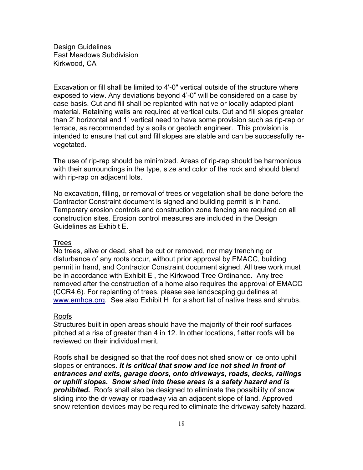Excavation or fill shall be limited to 4'-0" vertical outside of the structure where exposed to view. Any deviations beyond 4'-0" will be considered on a case by case basis. Cut and fill shall be replanted with native or locally adapted plant material. Retaining walls are required at vertical cuts. Cut and fill slopes greater than 2' horizontal and 1' vertical need to have some provision such as rip-rap or terrace, as recommended by a soils or geotech engineer. This provision is intended to ensure that cut and fill slopes are stable and can be successfully revegetated.

The use of rip-rap should be minimized. Areas of rip-rap should be harmonious with their surroundings in the type, size and color of the rock and should blend with rip-rap on adjacent lots.

No excavation, filling, or removal of trees or vegetation shall be done before the Contractor Constraint document is signed and building permit is in hand. Temporary erosion controls and construction zone fencing are required on all construction sites. Erosion control measures are included in the Design Guidelines as Exhibit E.

## Trees

No trees, alive or dead, shall be cut or removed, nor may trenching or disturbance of any roots occur, without prior approval by EMACC, building permit in hand, and Contractor Constraint document signed. All tree work must be in accordance with Exhibit E , the Kirkwood Tree Ordinance. Any tree removed after the construction of a home also requires the approval of EMACC (CCR4.6). For replanting of trees, please see landscaping guidelines at [www.emhoa.org.](http://www.emhoa.org/) See also Exhibit H for a short list of native tress and shrubs.

## Roofs

Structures built in open areas should have the majority of their roof surfaces pitched at a rise of greater than 4 in 12. In other locations, flatter roofs will be reviewed on their individual merit.

Roofs shall be designed so that the roof does not shed snow or ice onto uphill slopes or entrances. *It is critical that snow and ice not shed in front of entrances and exits, garage doors, onto driveways, roads, decks, railings or uphill slopes. Snow shed into these areas is a safety hazard and is prohibited.* Roofs shall also be designed to eliminate the possibility of snow sliding into the driveway or roadway via an adjacent slope of land. Approved snow retention devices may be required to eliminate the driveway safety hazard.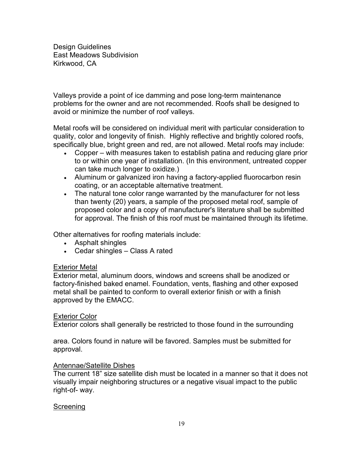Valleys provide a point of ice damming and pose long-term maintenance problems for the owner and are not recommended. Roofs shall be designed to avoid or minimize the number of roof valleys.

Metal roofs will be considered on individual merit with particular consideration to quality, color and longevity of finish. Highly reflective and brightly colored roofs, specifically blue, bright green and red, are not allowed. Metal roofs may include:

- Copper with measures taken to establish patina and reducing glare prior to or within one year of installation. (In this environment, untreated copper can take much longer to oxidize.)
- Aluminum or galvanized iron having a factory-applied fluorocarbon resin coating, or an acceptable alternative treatment.
- The natural tone color range warranted by the manufacturer for not less than twenty (20) years, a sample of the proposed metal roof, sample of proposed color and a copy of manufacturer's literature shall be submitted for approval. The finish of this roof must be maintained through its lifetime.

Other alternatives for roofing materials include:

- Asphalt shingles
- Cedar shingles Class A rated

# Exterior Metal

Exterior metal, aluminum doors, windows and screens shall be anodized or factory-finished baked enamel. Foundation, vents, flashing and other exposed metal shall be painted to conform to overall exterior finish or with a finish approved by the EMACC.

## Exterior Color

Exterior colors shall generally be restricted to those found in the surrounding

area. Colors found in nature will be favored. Samples must be submitted for approval.

## Antennae/Satellite Dishes

The current 18" size satellite dish must be located in a manner so that it does not visually impair neighboring structures or a negative visual impact to the public right-of- way.

# Screening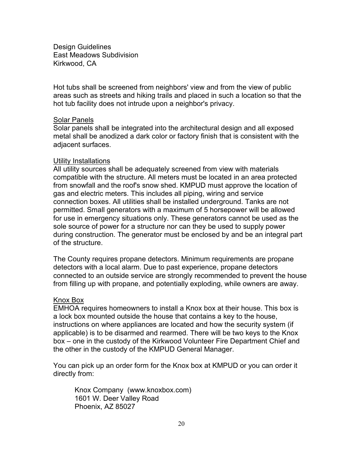Hot tubs shall be screened from neighbors' view and from the view of public areas such as streets and hiking trails and placed in such a location so that the hot tub facility does not intrude upon a neighbor's privacy.

#### Solar Panels

Solar panels shall be integrated into the architectural design and all exposed metal shall be anodized a dark color or factory finish that is consistent with the adjacent surfaces.

#### Utility Installations

All utility sources shall be adequately screened from view with materials compatible with the structure. All meters must be located in an area protected from snowfall and the roof's snow shed. KMPUD must approve the location of gas and electric meters. This includes all piping, wiring and service connection boxes. All utilities shall be installed underground. Tanks are not permitted. Small generators with a maximum of 5 horsepower will be allowed for use in emergency situations only. These generators cannot be used as the sole source of power for a structure nor can they be used to supply power during construction. The generator must be enclosed by and be an integral part of the structure.

The County requires propane detectors. Minimum requirements are propane detectors with a local alarm. Due to past experience, propane detectors connected to an outside service are strongly recommended to prevent the house from filling up with propane, and potentially exploding, while owners are away.

#### Knox Box

EMHOA requires homeowners to install a Knox box at their house. This box is a lock box mounted outside the house that contains a key to the house, instructions on where appliances are located and how the security system (if applicable) is to be disarmed and rearmed. There will be two keys to the Knox box – one in the custody of the Kirkwood Volunteer Fire Department Chief and the other in the custody of the KMPUD General Manager.

You can pick up an order form for the Knox box at KMPUD or you can order it directly from:

Knox Company (www.knoxbox.com) 1601 W. Deer Valley Road Phoenix, AZ 85027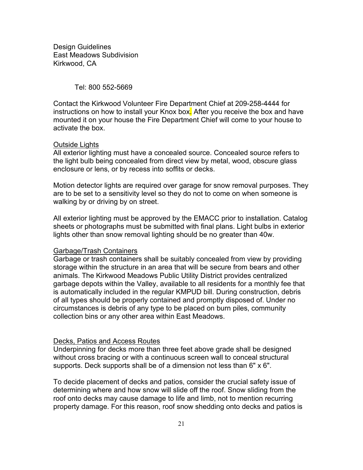Tel: 800 552-5669

Contact the Kirkwood Volunteer Fire Department Chief at 209-258-4444 for instructions on how to install your Knox box. After you receive the box and have mounted it on your house the Fire Department Chief will come to your house to activate the box.

## Outside Lights

All exterior lighting must have a concealed source. Concealed source refers to the light bulb being concealed from direct view by metal, wood, obscure glass enclosure or lens, or by recess into soffits or decks.

Motion detector lights are required over garage for snow removal purposes. They are to be set to a sensitivity level so they do not to come on when someone is walking by or driving by on street.

All exterior lighting must be approved by the EMACC prior to installation. Catalog sheets or photographs must be submitted with final plans. Light bulbs in exterior lights other than snow removal lighting should be no greater than 40w.

## Garbage/Trash Containers

Garbage or trash containers shall be suitably concealed from view by providing storage within the structure in an area that will be secure from bears and other animals. The Kirkwood Meadows Public Utility District provides centralized garbage depots within the Valley, available to all residents for a monthly fee that is automatically included in the regular KMPUD bill. During construction, debris of all types should be properly contained and promptly disposed of. Under no circumstances is debris of any type to be placed on burn piles, community collection bins or any other area within East Meadows.

## Decks, Patios and Access Routes

Underpinning for decks more than three feet above grade shall be designed without cross bracing or with a continuous screen wall to conceal structural supports. Deck supports shall be of a dimension not less than 6" x 6".

To decide placement of decks and patios, consider the crucial safety issue of determining where and how snow will slide off the roof. Snow sliding from the roof onto decks may cause damage to life and limb, not to mention recurring property damage. For this reason, roof snow shedding onto decks and patios is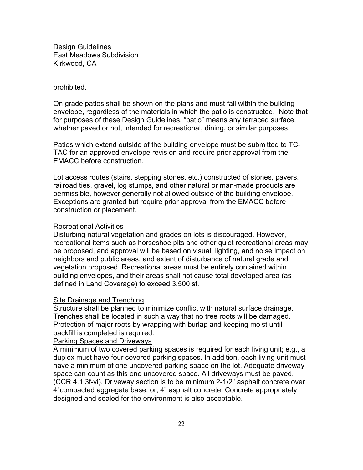#### prohibited.

On grade patios shall be shown on the plans and must fall within the building envelope, regardless of the materials in which the patio is constructed. Note that for purposes of these Design Guidelines, "patio" means any terraced surface, whether paved or not, intended for recreational, dining, or similar purposes.

Patios which extend outside of the building envelope must be submitted to TC-TAC for an approved envelope revision and require prior approval from the EMACC before construction.

Lot access routes (stairs, stepping stones, etc.) constructed of stones, pavers, railroad ties, gravel, log stumps, and other natural or man-made products are permissible, however generally not allowed outside of the building envelope. Exceptions are granted but require prior approval from the EMACC before construction or placement.

## Recreational Activities

Disturbing natural vegetation and grades on lots is discouraged. However, recreational items such as horseshoe pits and other quiet recreational areas may be proposed, and approval will be based on visual, lighting, and noise impact on neighbors and public areas, and extent of disturbance of natural grade and vegetation proposed. Recreational areas must be entirely contained within building envelopes, and their areas shall not cause total developed area (as defined in Land Coverage) to exceed 3,500 sf.

## **Site Drainage and Trenching**

Structure shall be planned to minimize conflict with natural surface drainage. Trenches shall be located in such a way that no tree roots will be damaged. Protection of major roots by wrapping with burlap and keeping moist until backfill is completed is required.

# Parking Spaces and Driveways

A minimum of two covered parking spaces is required for each living unit; e.g., a duplex must have four covered parking spaces. In addition, each living unit must have a minimum of one uncovered parking space on the lot. Adequate driveway space can count as this one uncovered space. All driveways must be paved. (CCR 4.1.3f-vi). Driveway section is to be minimum 2-1/2" asphalt concrete over 4"compacted aggregate base, or, 4" asphalt concrete. Concrete appropriately designed and sealed for the environment is also acceptable.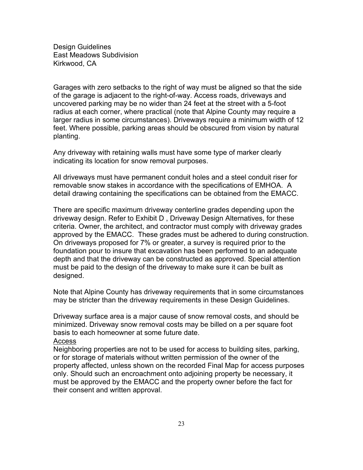Garages with zero setbacks to the right of way must be aligned so that the side of the garage is adjacent to the right-of-way. Access roads, driveways and uncovered parking may be no wider than 24 feet at the street with a 5-foot radius at each corner, where practical (note that Alpine County may require a larger radius in some circumstances). Driveways require a minimum width of 12 feet. Where possible, parking areas should be obscured from vision by natural planting.

Any driveway with retaining walls must have some type of marker clearly indicating its location for snow removal purposes.

All driveways must have permanent conduit holes and a steel conduit riser for removable snow stakes in accordance with the specifications of EMHOA. A detail drawing containing the specifications can be obtained from the EMACC.

There are specific maximum driveway centerline grades depending upon the driveway design. Refer to Exhibit D , Driveway Design Alternatives, for these criteria. Owner, the architect, and contractor must comply with driveway grades approved by the EMACC. These grades must be adhered to during construction. On driveways proposed for 7% or greater, a survey is required prior to the foundation pour to insure that excavation has been performed to an adequate depth and that the driveway can be constructed as approved. Special attention must be paid to the design of the driveway to make sure it can be built as designed.

Note that Alpine County has driveway requirements that in some circumstances may be stricter than the driveway requirements in these Design Guidelines.

Driveway surface area is a major cause of snow removal costs, and should be minimized. Driveway snow removal costs may be billed on a per square foot basis to each homeowner at some future date.

## Access

Neighboring properties are not to be used for access to building sites, parking, or for storage of materials without written permission of the owner of the property affected, unless shown on the recorded Final Map for access purposes only. Should such an encroachment onto adjoining property be necessary, it must be approved by the EMACC and the property owner before the fact for their consent and written approval.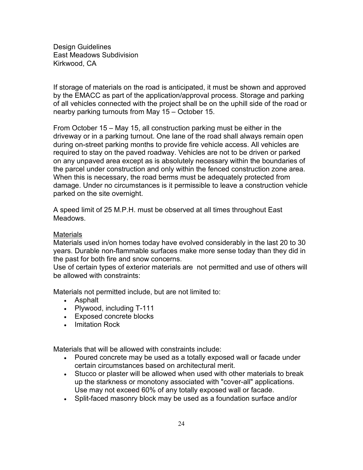If storage of materials on the road is anticipated, it must be shown and approved by the EMACC as part of the application/approval process. Storage and parking of all vehicles connected with the project shall be on the uphill side of the road or nearby parking turnouts from May 15 – October 15.

From October 15 – May 15, all construction parking must be either in the driveway or in a parking turnout. One lane of the road shall always remain open during on-street parking months to provide fire vehicle access. All vehicles are required to stay on the paved roadway. Vehicles are not to be driven or parked on any unpaved area except as is absolutely necessary within the boundaries of the parcel under construction and only within the fenced construction zone area. When this is necessary, the road berms must be adequately protected from damage. Under no circumstances is it permissible to leave a construction vehicle parked on the site overnight.

A speed limit of 25 M.P.H. must be observed at all times throughout East Meadows.

## **Materials**

Materials used in/on homes today have evolved considerably in the last 20 to 30 years. Durable non-flammable surfaces make more sense today than they did in the past for both fire and snow concerns.

Use of certain types of exterior materials are not permitted and use of others will be allowed with constraints:

Materials not permitted include, but are not limited to:

- Asphalt
- Plywood, including T-111
- Exposed concrete blocks
- Imitation Rock

Materials that will be allowed with constraints include:

- Poured concrete may be used as a totally exposed wall or facade under certain circumstances based on architectural merit.
- Stucco or plaster will be allowed when used with other materials to break up the starkness or monotony associated with "cover-all" applications. Use may not exceed 60% of any totally exposed wall or facade.
- Split-faced masonry block may be used as a foundation surface and/or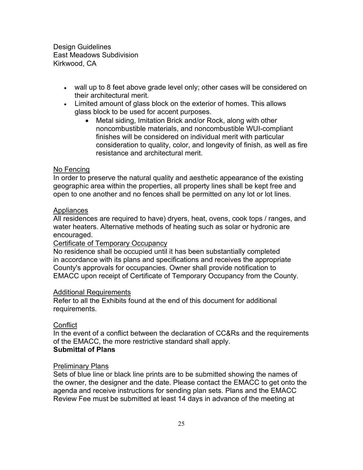- wall up to 8 feet above grade level only; other cases will be considered on their architectural merit.
- Limited amount of glass block on the exterior of homes. This allows glass block to be used for accent purposes.
	- Metal siding, Imitation Brick and/or Rock, along with other noncombustible materials, and noncombustible WUI-compliant finishes will be considered on individual merit with particular consideration to quality, color, and longevity of finish, as well as fire resistance and architectural merit.

# No Fencing

In order to preserve the natural quality and aesthetic appearance of the existing geographic area within the properties, all property lines shall be kept free and open to one another and no fences shall be permitted on any lot or lot lines.

## Appliances

All residences are required to have) dryers, heat, ovens, cook tops / ranges, and water heaters. Alternative methods of heating such as solar or hydronic are encouraged.

## Certificate of Temporary Occupancy

No residence shall be occupied until it has been substantially completed in accordance with its plans and specifications and receives the appropriate County's approvals for occupancies. Owner shall provide notification to EMACC upon receipt of Certificate of Temporary Occupancy from the County.

## Additional Requirements

Refer to all the Exhibits found at the end of this document for additional requirements.

## Conflict

In the event of a conflict between the declaration of CC&Rs and the requirements of the EMACC, the more restrictive standard shall apply. **Submittal of Plans**

## Preliminary Plans

Sets of blue line or black line prints are to be submitted showing the names of the owner, the designer and the date. Please contact the EMACC to get onto the agenda and receive instructions for sending plan sets. Plans and the EMACC Review Fee must be submitted at least 14 days in advance of the meeting at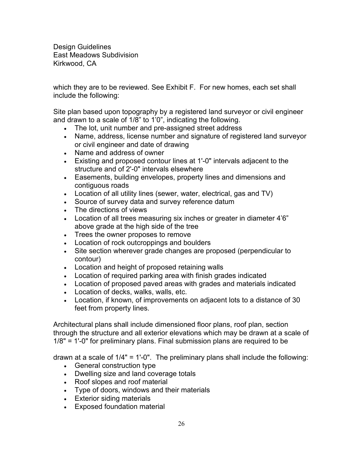which they are to be reviewed. See Exhibit F. For new homes, each set shall include the following:

Site plan based upon topography by a registered land surveyor or civil engineer and drawn to a scale of 1/8" to 1'0", indicating the following.

- The lot, unit number and pre-assigned street address
- Name, address, license number and signature of registered land surveyor or civil engineer and date of drawing
- Name and address of owner
- Existing and proposed contour lines at 1'-0" intervals adjacent to the structure and of 2'-0" intervals elsewhere
- Easements, building envelopes, property lines and dimensions and contiguous roads
- Location of all utility lines (sewer, water, electrical, gas and TV)
- Source of survey data and survey reference datum
- The directions of views
- Location of all trees measuring six inches or greater in diameter 4'6" above grade at the high side of the tree
- Trees the owner proposes to remove
- Location of rock outcroppings and boulders
- Site section wherever grade changes are proposed (perpendicular to contour)
- Location and height of proposed retaining walls
- Location of required parking area with finish grades indicated
- Location of proposed paved areas with grades and materials indicated
- Location of decks, walks, walls, etc.
- Location, if known, of improvements on adjacent lots to a distance of 30 feet from property lines.

Architectural plans shall include dimensioned floor plans, roof plan, section through the structure and all exterior elevations which may be drawn at a scale of 1/8" = 1'-0" for preliminary plans. Final submission plans are required to be

drawn at a scale of 1/4" = 1'-0". The preliminary plans shall include the following:

- General construction type
- Dwelling size and land coverage totals
- Roof slopes and roof material
- Type of doors, windows and their materials
- Exterior siding materials
- Exposed foundation material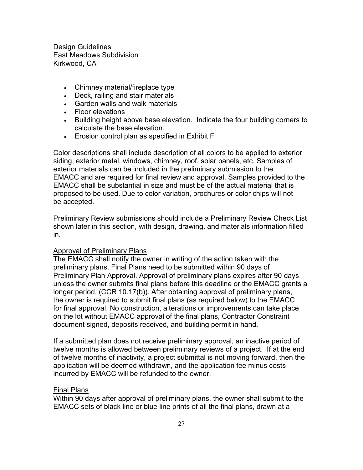- Chimney material/fireplace type
- Deck, railing and stair materials
- Garden walls and walk materials
- Floor elevations
- Building height above base elevation. Indicate the four building corners to calculate the base elevation.
- Erosion control plan as specified in Exhibit F

Color descriptions shall include description of all colors to be applied to exterior siding, exterior metal, windows, chimney, roof, solar panels, etc. Samples of exterior materials can be included in the preliminary submission to the EMACC and are required for final review and approval. Samples provided to the EMACC shall be substantial in size and must be of the actual material that is proposed to be used. Due to color variation, brochures or color chips will not be accepted.

Preliminary Review submissions should include a Preliminary Review Check List shown later in this section, with design, drawing, and materials information filled in.

## Approval of Preliminary Plans

The EMACC shall notify the owner in writing of the action taken with the preliminary plans. Final Plans need to be submitted within 90 days of Preliminary Plan Approval. Approval of preliminary plans expires after 90 days unless the owner submits final plans before this deadline or the EMACC grants a longer period. (CCR 10.17(b)). After obtaining approval of preliminary plans, the owner is required to submit final plans (as required below) to the EMACC for final approval. No construction, alterations or improvements can take place on the lot without EMACC approval of the final plans, Contractor Constraint document signed, deposits received, and building permit in hand.

If a submitted plan does not receive preliminary approval, an inactive period of twelve months is allowed between preliminary reviews of a project. If at the end of twelve months of inactivity, a project submittal is not moving forward, then the application will be deemed withdrawn, and the application fee minus costs incurred by EMACC will be refunded to the owner.

## Final Plans

Within 90 days after approval of preliminary plans, the owner shall submit to the EMACC sets of black line or blue line prints of all the final plans, drawn at a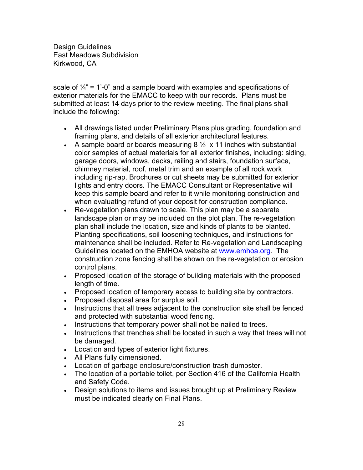scale of  $\frac{1}{4}$ " = 1'-0" and a sample board with examples and specifications of exterior materials for the EMACC to keep with our records. Plans must be submitted at least 14 days prior to the review meeting. The final plans shall include the following:

- All drawings listed under Preliminary Plans plus grading, foundation and framing plans, and details of all exterior architectural features.
- A sample board or boards measuring  $8\frac{1}{2} \times 11$  inches with substantial color samples of actual materials for all exterior finishes, including: siding, garage doors, windows, decks, railing and stairs, foundation surface, chimney material, roof, metal trim and an example of all rock work including rip-rap. Brochures or cut sheets may be submitted for exterior lights and entry doors. The EMACC Consultant or Representative will keep this sample board and refer to it while monitoring construction and when evaluating refund of your deposit for construction compliance.
- Re-vegetation plans drawn to scale. This plan may be a separate landscape plan or may be included on the plot plan. The re-vegetation plan shall include the location, size and kinds of plants to be planted. Planting specifications, soil loosening techniques, and instructions for maintenance shall be included. Refer to Re-vegetation and Landscaping Guidelines located on the EMHOA website at www.emhoa.org. The construction zone fencing shall be shown on the re-vegetation or erosion control plans.
- Proposed location of the storage of building materials with the proposed length of time.
- Proposed location of temporary access to building site by contractors.
- Proposed disposal area for surplus soil.
- Instructions that all trees adjacent to the construction site shall be fenced and protected with substantial wood fencing.
- Instructions that temporary power shall not be nailed to trees.
- Instructions that trenches shall be located in such a way that trees will not be damaged.
- Location and types of exterior light fixtures.
- All Plans fully dimensioned.
- Location of garbage enclosure/construction trash dumpster.
- The location of a portable toilet, per Section 416 of the California Health and Safety Code.
- Design solutions to items and issues brought up at Preliminary Review must be indicated clearly on Final Plans.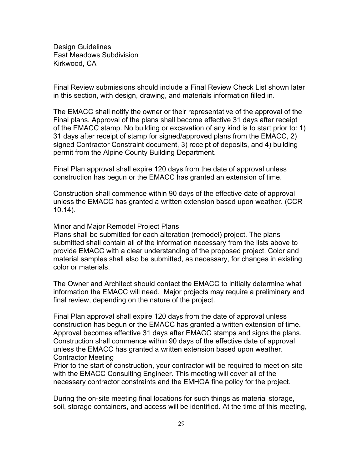Final Review submissions should include a Final Review Check List shown later in this section, with design, drawing, and materials information filled in.

The EMACC shall notify the owner or their representative of the approval of the Final plans. Approval of the plans shall become effective 31 days after receipt of the EMACC stamp. No building or excavation of any kind is to start prior to: 1) 31 days after receipt of stamp for signed/approved plans from the EMACC, 2) signed Contractor Constraint document, 3) receipt of deposits, and 4) building permit from the Alpine County Building Department.

Final Plan approval shall expire 120 days from the date of approval unless construction has begun or the EMACC has granted an extension of time.

Construction shall commence within 90 days of the effective date of approval unless the EMACC has granted a written extension based upon weather. (CCR 10.14).

## Minor and Major Remodel Project Plans

Plans shall be submitted for each alteration (remodel) project. The plans submitted shall contain all of the information necessary from the lists above to provide EMACC with a clear understanding of the proposed project. Color and material samples shall also be submitted, as necessary, for changes in existing color or materials.

The Owner and Architect should contact the EMACC to initially determine what information the EMACC will need. Major projects may require a preliminary and final review, depending on the nature of the project.

Final Plan approval shall expire 120 days from the date of approval unless construction has begun or the EMACC has granted a written extension of time. Approval becomes effective 31 days after EMACC stamps and signs the plans. Construction shall commence within 90 days of the effective date of approval unless the EMACC has granted a written extension based upon weather. Contractor Meeting

Prior to the start of construction, your contractor will be required to meet on-site with the EMACC Consulting Engineer. This meeting will cover all of the necessary contractor constraints and the EMHOA fine policy for the project.

During the on-site meeting final locations for such things as material storage, soil, storage containers, and access will be identified. At the time of this meeting,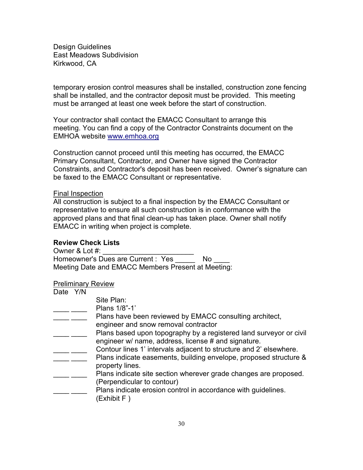temporary erosion control measures shall be installed, construction zone fencing shall be installed, and the contractor deposit must be provided. This meeting must be arranged at least one week before the start of construction.

Your contractor shall contact the EMACC Consultant to arrange this meeting. You can find a copy of the Contractor Constraints document on the EMHOA website [www.emhoa.org](http://www.emhoa.org/)

Construction cannot proceed until this meeting has occurred, the EMACC Primary Consultant, Contractor, and Owner have signed the Contractor Constraints, and Contractor's deposit has been received. Owner's signature can be faxed to the EMACC Consultant or representative.

## Final Inspection

All construction is subject to a final inspection by the EMACC Consultant or representative to ensure all such construction is in conformance with the approved plans and that final clean-up has taken place. Owner shall notify EMACC in writing when project is complete.

## **Review Check Lists**

Owner & Lot #: Homeowner's Dues are Current : Yes No Meeting Date and EMACC Members Present at Meeting:

## Preliminary Review

| Date Y/N |                                                                                                                                         |
|----------|-----------------------------------------------------------------------------------------------------------------------------------------|
|          | Site Plan:                                                                                                                              |
|          | Plans 1/8"-1"                                                                                                                           |
|          | Plans have been reviewed by EMACC consulting architect,                                                                                 |
|          | engineer and snow removal contractor                                                                                                    |
|          | Plans based upon topography by a registered land surveyor or civil<br>engineer w/ name, address, license # and signature.               |
|          | Contour lines 1' intervals adjacent to structure and 2' elsewhere.<br>Plans indicate easements, building envelope, proposed structure & |
|          | property lines.                                                                                                                         |
|          | Plans indicate site section wherever grade changes are proposed.<br>(Perpendicular to contour)                                          |
|          | Plans indicate erosion control in accordance with guidelines.<br>(Exhibit F)                                                            |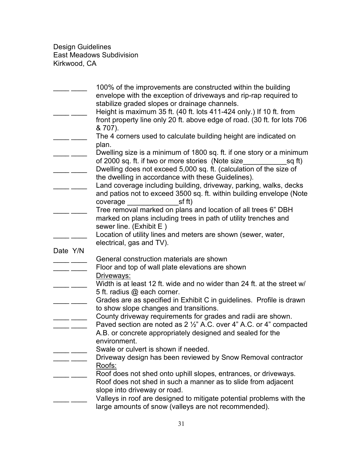|          | 100% of the improvements are constructed within the building<br>envelope with the exception of driveways and rip-rap required to<br>stabilize graded slopes or drainage channels.<br>Height is maximum 35 ft. (40 ft. lots 411-424 only.) If 10 ft. from<br>front property line only 20 ft. above edge of road. (30 ft. for lots 706<br>& 707).                                                                                             |
|----------|---------------------------------------------------------------------------------------------------------------------------------------------------------------------------------------------------------------------------------------------------------------------------------------------------------------------------------------------------------------------------------------------------------------------------------------------|
|          | The 4 corners used to calculate building height are indicated on                                                                                                                                                                                                                                                                                                                                                                            |
|          | plan.<br>Dwelling size is a minimum of 1800 sq. ft. if one story or a minimum<br>of 2000 sq. ft. if two or more stories (Note size<br>sq ft)<br>Dwelling does not exceed 5,000 sq. ft. (calculation of the size of<br>the dwelling in accordance with these Guidelines).<br>Land coverage including building, driveway, parking, walks, decks<br>and patios not to exceed 3500 sq. ft. within building envelope (Note<br>sf ft)<br>coverage |
|          | Tree removal marked on plans and location of all trees 6" DBH                                                                                                                                                                                                                                                                                                                                                                               |
|          | marked on plans including trees in path of utility trenches and                                                                                                                                                                                                                                                                                                                                                                             |
|          | sewer line. (Exhibit E)                                                                                                                                                                                                                                                                                                                                                                                                                     |
|          | Location of utility lines and meters are shown (sewer, water,<br>electrical, gas and TV).                                                                                                                                                                                                                                                                                                                                                   |
| Date Y/N |                                                                                                                                                                                                                                                                                                                                                                                                                                             |
|          | General construction materials are shown                                                                                                                                                                                                                                                                                                                                                                                                    |
|          | Floor and top of wall plate elevations are shown                                                                                                                                                                                                                                                                                                                                                                                            |
|          | Driveways:                                                                                                                                                                                                                                                                                                                                                                                                                                  |
|          | Width is at least 12 ft. wide and no wider than 24 ft. at the street w/                                                                                                                                                                                                                                                                                                                                                                     |
|          | 5 ft. radius @ each corner.<br>Grades are as specified in Exhibit C in guidelines. Profile is drawn<br>to show slope changes and transitions.                                                                                                                                                                                                                                                                                               |
|          | County driveway requirements for grades and radii are shown.<br>Paved section are noted as 2 1/2" A.C. over 4" A.C. or 4" compacted                                                                                                                                                                                                                                                                                                         |
|          | A.B. or concrete appropriately designed and sealed for the<br>environment.                                                                                                                                                                                                                                                                                                                                                                  |
|          | Swale or culvert is shown if needed.                                                                                                                                                                                                                                                                                                                                                                                                        |
|          | Driveway design has been reviewed by Snow Removal contractor                                                                                                                                                                                                                                                                                                                                                                                |
|          | Roofs:<br>Roof does not shed onto uphill slopes, entrances, or driveways.                                                                                                                                                                                                                                                                                                                                                                   |
|          | Roof does not shed in such a manner as to slide from adjacent                                                                                                                                                                                                                                                                                                                                                                               |
|          | slope into driveway or road.                                                                                                                                                                                                                                                                                                                                                                                                                |
|          | Valleys in roof are designed to mitigate potential problems with the                                                                                                                                                                                                                                                                                                                                                                        |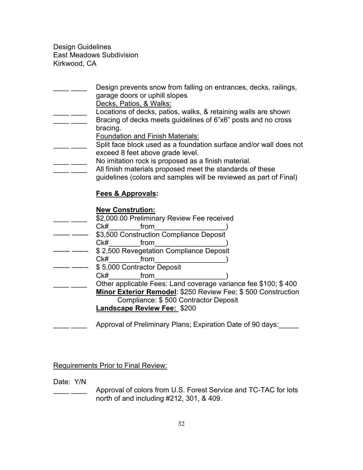Design prevents snow from falling on entrances, decks, railings, garage doors or uphill slopes Decks, Patios, & Walks: Locations of decks, patios, walks, & retaining walls are shown Bracing of decks meets guidelines of 6"x6" posts and no cross bracing.

Foundation and Finish Materials:

- Split face block used as a foundation surface and/or wall does not exceed 8 feet above grade level.
- **No imitation rock is proposed as a finish material.** 
	- All finish materials proposed meet the standards of these
		- guidelines (colors and samples will be reviewed as part of Final)

# **Fees & Approvals:**

# **New Constrution:**

|                 | \$2,000.00 Preliminary Review Fee received |                                                                |
|-----------------|--------------------------------------------|----------------------------------------------------------------|
| Ck#             | from                                       |                                                                |
|                 | \$3,500 Construction Compliance Deposit    |                                                                |
| CkH             | from                                       |                                                                |
|                 | \$2,500 Revegetation Compliance Deposit    |                                                                |
| Ck#             | from                                       |                                                                |
|                 | \$5,000 Contractor Deposit                 |                                                                |
| C <sub>k#</sub> | from                                       |                                                                |
|                 |                                            | Other applicable Fees: Land coverage variance fee \$100; \$400 |
|                 |                                            | Minor Exterior Remodel: \$250 Review Fee; \$500 Construction   |
|                 | Compliance: \$500 Contractor Deposit       |                                                                |
|                 | <b>Landscape Review Fee: \$200</b>         |                                                                |
|                 |                                            |                                                                |
|                 |                                            | Approval of Preliminary Plans; Expiration Date of 90 days:     |

Requirements Prior to Final Review:

Date: Y/N

Approval of colors from U.S. Forest Service and TC-TAC for lots north of and including #212, 301, & 409.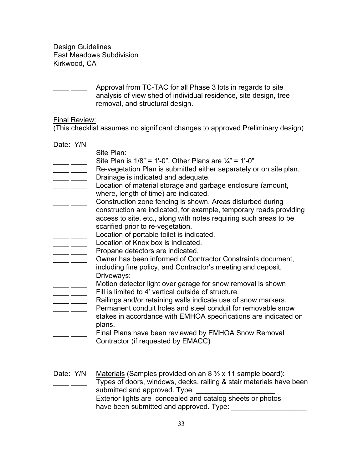Approval from TC-TAC for all Phase 3 lots in regards to site analysis of view shed of individual residence, site design, tree removal, and structural design.

# Final Review:

(This checklist assumes no significant changes to approved Preliminary design)

| Date: Y/N |                                                                                                                                                                                   |
|-----------|-----------------------------------------------------------------------------------------------------------------------------------------------------------------------------------|
|           | Site Plan:                                                                                                                                                                        |
|           | Site Plan is $1/8$ " = 1'-0", Other Plans are $\frac{1}{4}$ " = 1'-0"                                                                                                             |
|           | Re-vegetation Plan is submitted either separately or on site plan.                                                                                                                |
|           | Drainage is indicated and adequate.                                                                                                                                               |
|           | Location of material storage and garbage enclosure (amount,<br>where, length of time) are indicated.                                                                              |
|           | Construction zone fencing is shown. Areas disturbed during                                                                                                                        |
|           | construction are indicated, for example, temporary roads providing<br>access to site, etc., along with notes requiring such areas to be                                           |
|           | scarified prior to re-vegetation.                                                                                                                                                 |
|           | Location of portable toilet is indicated.                                                                                                                                         |
|           | Location of Knox box is indicated.                                                                                                                                                |
|           | Propane detectors are indicated.                                                                                                                                                  |
|           | Owner has been informed of Contractor Constraints document,<br>including fine policy, and Contractor's meeting and deposit.                                                       |
|           | Driveways:<br>Motion detector light over garage for snow removal is shown<br>Fill is limited to 4' vertical outside of structure.                                                 |
|           | Railings and/or retaining walls indicate use of snow markers.                                                                                                                     |
|           | Permanent conduit holes and steel conduit for removable snow<br>stakes in accordance with EMHOA specifications are indicated on                                                   |
|           | plans.                                                                                                                                                                            |
|           | Final Plans have been reviewed by EMHOA Snow Removal<br>Contractor (if requested by EMACC)                                                                                        |
|           |                                                                                                                                                                                   |
| Date: Y/N | Materials (Samples provided on an $8\frac{1}{2} \times 11$ sample board):<br>Types of doors, windows, decks, railing & stair materials have been<br>submitted and approved. Type: |
|           | Exterior lights are concealed and catalog sheets or photos                                                                                                                        |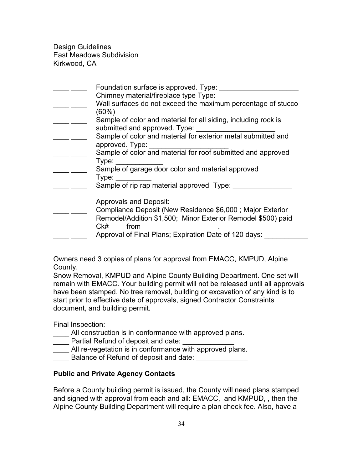| Foundation surface is approved. Type:<br>Chimney material/fireplace type Type:<br>Wall surfaces do not exceed the maximum percentage of stucco<br>$(60\%)$                 |
|----------------------------------------------------------------------------------------------------------------------------------------------------------------------------|
| Sample of color and material for all siding, including rock is<br>submitted and approved. Type:                                                                            |
| Sample of color and material for exterior metal submitted and<br>approved. Type:                                                                                           |
| Sample of color and material for roof submitted and approved<br>Type:                                                                                                      |
| Sample of garage door color and material approved<br>Type:                                                                                                                 |
| Sample of rip rap material approved Type:                                                                                                                                  |
| <b>Approvals and Deposit:</b><br>Compliance Deposit (New Residence \$6,000 ; Major Exterior<br>Remodel/Addition \$1,500; Minor Exterior Remodel \$500) paid<br>$Ck\#$ from |
| Approval of Final Plans; Expiration Date of 120 days:                                                                                                                      |

Owners need 3 copies of plans for approval from EMACC, KMPUD, Alpine County.

Snow Removal, KMPUD and Alpine County Building Department. One set will remain with EMACC. Your building permit will not be released until all approvals have been stamped. No tree removal, building or excavation of any kind is to start prior to effective date of approvals, signed Contractor Constraints document, and building permit.

Final Inspection:

- All construction is in conformance with approved plans.
- \_\_\_\_ Partial Refund of deposit and date: \_\_\_\_\_\_\_\_\_\_\_\_\_
- All re-vegetation is in conformance with approved plans.
- Balance of Refund of deposit and date:

# **Public and Private Agency Contacts**

Before a County building permit is issued, the County will need plans stamped and signed with approval from each and all: EMACC, and KMPUD, , then the Alpine County Building Department will require a plan check fee. Also, have a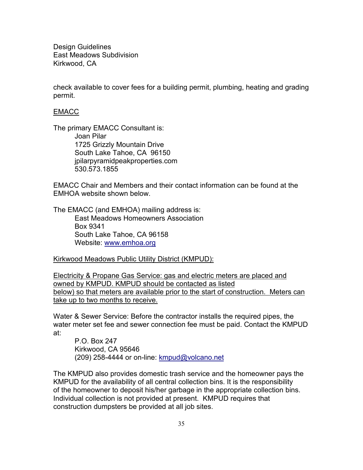check available to cover fees for a building permit, plumbing, heating and grading permit.

# EMACC

The primary EMACC Consultant is: Joan Pilar 1725 Grizzly Mountain Drive South Lake Tahoe, CA 96150 jpilarpyramidpeakproperties.com 530.573.1855

EMACC Chair and Members and their contact information can be found at the EMHOA website shown below.

The EMACC (and EMHOA) mailing address is: East Meadows Homeowners Association Box 9341 South Lake Tahoe, CA 96158 Website: [www.emhoa.org](http://www.emhoa.org/)

Kirkwood Meadows Public Utility District (KMPUD):

Electricity & Propane Gas Service: gas and electric meters are placed and owned by KMPUD. KMPUD should be contacted as listed below) so that meters are available prior to the start of construction. Meters can take up to two months to receive.

Water & Sewer Service: Before the contractor installs the required pipes, the water meter set fee and sewer connection fee must be paid. Contact the KMPUD at:

P.O. Box 247 Kirkwood, CA 95646 (209) 258-4444 or on-line: [kmpud@volcano.net](mailto:kmpud@volcano.net)

The KMPUD also provides domestic trash service and the homeowner pays the KMPUD for the availability of all central collection bins. It is the responsibility of the homeowner to deposit his/her garbage in the appropriate collection bins. Individual collection is not provided at present. KMPUD requires that construction dumpsters be provided at all job sites.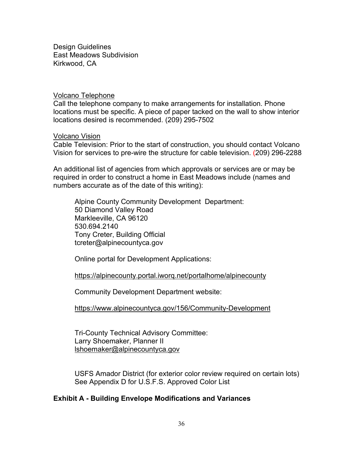#### Volcano Telephone

Call the telephone company to make arrangements for installation. Phone locations must be specific. A piece of paper tacked on the wall to show interior locations desired is recommended. (209) 295-7502

## Volcano Vision

Cable Television: Prior to the start of construction, you should contact Volcano Vision for services to pre-wire the structure for cable television. (209) 296-2288

An additional list of agencies from which approvals or services are or may be required in order to construct a home in East Meadows include (names and numbers accurate as of the date of this writing):

Alpine County Community Development Department: 50 Diamond Valley Road Markleeville, CA 96120 530.694.2140 Tony Creter, Building Official tcreter@alpinecountyca.gov

Online portal for Development Applications:

#### https://alpinecounty.portal.iworq.net/portalhome/alpinecounty

Community Development Department website:

https://www.alpinecountyca.gov/156/Community-Development

Tri-County Technical Advisory Committee: Larry Shoemaker, Planner II lshoemaker@alpinecountyca.gov

USFS Amador District (for exterior color review required on certain lots) See Appendix D for U.S.F.S. Approved Color List

# **Exhibit A - Building Envelope Modifications and Variances**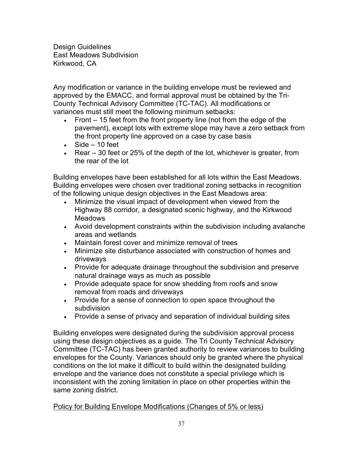Any modification or variance in the building envelope must be reviewed and approved by the EMACC, and formal approval must be obtained by the Tri-County Technical Advisory Committee (TC-TAC). All modifications or variances must still meet the following minimum setbacks:

- Front 15 feet from the front property line (not from the edge of the pavement), except lots with extreme slope may have a zero setback from the front property line approved on a case by case basis
- $\bullet$  Side  $-10$  feet
- Rear 30 feet or 25% of the depth of the lot, whichever is greater, from the rear of the lot

Building envelopes have been established for all lots within the East Meadows. Building envelopes were chosen over traditional zoning setbacks in recognition of the following unique design objectives in the East Meadows area:

- Minimize the visual impact of development when viewed from the Highway 88 corridor, a designated scenic highway, and the Kirkwood Meadows
- Avoid development constraints within the subdivision including avalanche areas and wetlands
- Maintain forest cover and minimize removal of trees
- Minimize site disturbance associated with construction of homes and driveways
- Provide for adequate drainage throughout the subdivision and preserve natural drainage ways as much as possible
- Provide adequate space for snow shedding from roofs and snow removal from roads and driveways
- Provide for a sense of connection to open space throughout the subdivision
- Provide a sense of privacy and separation of individual building sites

Building envelopes were designated during the subdivision approval process using these design objectives as a guide. The Tri County Technical Advisory Committee (TC-TAC) has been granted authority to review variances to building envelopes for the County. Variances should only be granted where the physical conditions on the lot make it difficult to build within the designated building envelope and the variance does not constitute a special privilege which is inconsistent with the zoning limitation in place on other properties within the same zoning district.

## Policy for Building Envelope Modifications (Changes of 5% or less)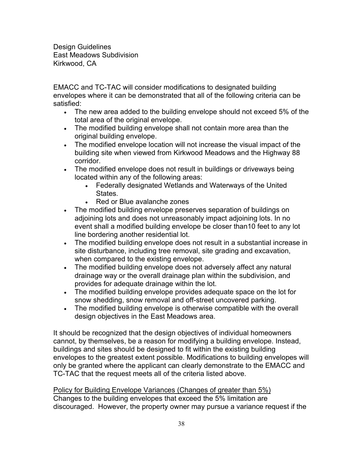EMACC and TC-TAC will consider modifications to designated building envelopes where it can be demonstrated that all of the following criteria can be satisfied:

- The new area added to the building envelope should not exceed 5% of the total area of the original envelope.
- The modified building envelope shall not contain more area than the original building envelope.
- The modified envelope location will not increase the visual impact of the building site when viewed from Kirkwood Meadows and the Highway 88 corridor.
- The modified envelope does not result in buildings or driveways being located within any of the following areas:
	- Federally designated Wetlands and Waterways of the United States.
	- Red or Blue avalanche zones
- The modified building envelope preserves separation of buildings on adjoining lots and does not unreasonably impact adjoining lots. In no event shall a modified building envelope be closer than10 feet to any lot line bordering another residential lot.
- The modified building envelope does not result in a substantial increase in site disturbance, including tree removal, site grading and excavation, when compared to the existing envelope.
- The modified building envelope does not adversely affect any natural drainage way or the overall drainage plan within the subdivision, and provides for adequate drainage within the lot.
- The modified building envelope provides adequate space on the lot for snow shedding, snow removal and off-street uncovered parking.
- The modified building envelope is otherwise compatible with the overall design objectives in the East Meadows area.

It should be recognized that the design objectives of individual homeowners cannot, by themselves, be a reason for modifying a building envelope. Instead, buildings and sites should be designed to fit within the existing building envelopes to the greatest extent possible. Modifications to building envelopes will only be granted where the applicant can clearly demonstrate to the EMACC and TC-TAC that the request meets all of the criteria listed above.

Policy for Building Envelope Variances (Changes of greater than 5%) Changes to the building envelopes that exceed the 5% limitation are discouraged. However, the property owner may pursue a variance request if the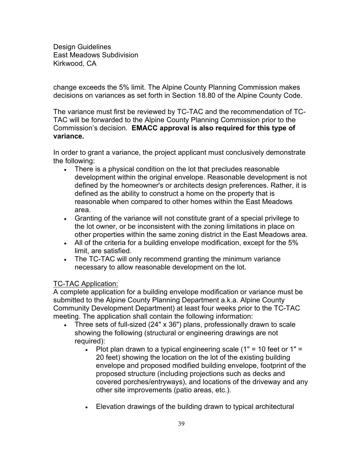change exceeds the 5% limit. The Alpine County Planning Commission makes decisions on variances as set forth in Section 18.80 of the Alpine County Code.

The variance must first be reviewed by TC-TAC and the recommendation of TC-TAC will be forwarded to the Alpine County Planning Commission prior to the Commission's decision. **EMACC approval is also required for this type of variance.** 

In order to grant a variance, the project applicant must conclusively demonstrate the following:

- There is a physical condition on the lot that precludes reasonable development within the original envelope. Reasonable development is not defined by the homeowner's or architects design preferences. Rather, it is defined as the ability to construct a home on the property that is reasonable when compared to other homes within the East Meadows area.
- Granting of the variance will not constitute grant of a special privilege to the lot owner, or be inconsistent with the zoning limitations in place on other properties within the same zoning district in the East Meadows area.
- All of the criteria for a building envelope modification, except for the 5% limit, are satisfied.
- The TC-TAC will only recommend granting the minimum variance necessary to allow reasonable development on the lot.

# TC-TAC Application:

A complete application for a building envelope modification or variance must be submitted to the Alpine County Planning Department a.k.a. Alpine County Community Development Department) at least four weeks prior to the TC-TAC meeting. The application shall contain the following information:

- Three sets of full-sized (24" x 36") plans, professionally drawn to scale showing the following (structural or engineering drawings are not required):
	- Plot plan drawn to a typical engineering scale  $(1" = 10$  feet or  $1" =$ 20 feet) showing the location on the lot of the existing building envelope and proposed modified building envelope, footprint of the proposed structure (including projections such as decks and covered porches/entryways), and locations of the driveway and any other site improvements (patio areas, etc.).
	- Elevation drawings of the building drawn to typical architectural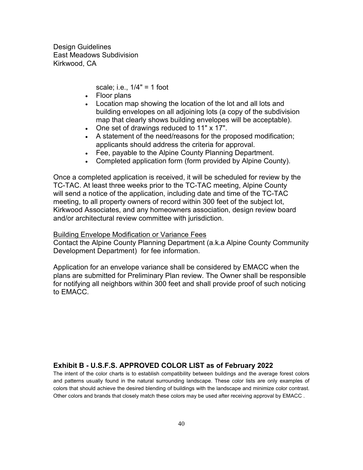scale; i.e., 1/4" = 1 foot

- Floor plans
- Location map showing the location of the lot and all lots and building envelopes on all adjoining lots (a copy of the subdivision map that clearly shows building envelopes will be acceptable).
- One set of drawings reduced to 11" x 17".
- A statement of the need/reasons for the proposed modification; applicants should address the criteria for approval.
- Fee, payable to the Alpine County Planning Department.
- Completed application form (form provided by Alpine County).

Once a completed application is received, it will be scheduled for review by the TC-TAC. At least three weeks prior to the TC-TAC meeting, Alpine County will send a notice of the application, including date and time of the TC-TAC meeting, to all property owners of record within 300 feet of the subject lot, Kirkwood Associates, and any homeowners association, design review board and/or architectural review committee with jurisdiction.

## Building Envelope Modification or Variance Fees

Contact the Alpine County Planning Department (a.k.a Alpine County Community Development Department) for fee information.

Application for an envelope variance shall be considered by EMACC when the plans are submitted for Preliminary Plan review. The Owner shall be responsible for notifying all neighbors within 300 feet and shall provide proof of such noticing to EMACC.

## **Exhibit B - U.S.F.S. APPROVED COLOR LIST as of February 2022**

The intent of the color charts is to establish compatibility between buildings and the average forest colors and patterns usually found in the natural surrounding landscape. These color lists are only examples of colors that should achieve the desired blending of buildings with the landscape and minimize color contrast. Other colors and brands that closely match these colors may be used after receiving approval by EMACC .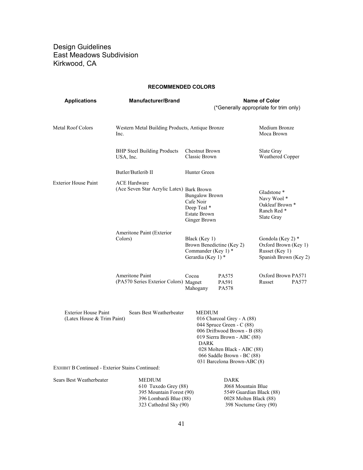#### **RECOMMENDED COLORS**

| <b>Applications</b>                                       | <b>Manufacturer/Brand</b>                                                                                      | <b>Name of Color</b><br>(*Generally appropriate for trim only)                                                                                                                        |                                                                                                                                                                                     |                                                                                                                                                                              |       |
|-----------------------------------------------------------|----------------------------------------------------------------------------------------------------------------|---------------------------------------------------------------------------------------------------------------------------------------------------------------------------------------|-------------------------------------------------------------------------------------------------------------------------------------------------------------------------------------|------------------------------------------------------------------------------------------------------------------------------------------------------------------------------|-------|
| Metal Roof Colors                                         | Western Metal Building Products, Antique Bronze<br>Inc.                                                        |                                                                                                                                                                                       |                                                                                                                                                                                     | Medium Bronze<br>Moca Brown                                                                                                                                                  |       |
|                                                           | <b>BHP</b> Steel Building Products<br>USA, Inc.                                                                | Chestnut Brown<br>Classic Brown                                                                                                                                                       |                                                                                                                                                                                     | Slate Gray<br>Weathered Copper                                                                                                                                               |       |
|                                                           | Butler/Butlerib II                                                                                             | Hunter Green                                                                                                                                                                          |                                                                                                                                                                                     |                                                                                                                                                                              |       |
| <b>Exterior House Paint</b>                               | <b>ACE Hardware</b><br>(Ace Seven Star Acrylic Latex) Bark Brown                                               | <b>Bungalow Brown</b><br>Cafe Noir<br>Deep Teal *<br><b>Estate Brown</b><br>Ginger Brown<br>Black (Key 1)<br>Brown Benedictine (Key 2)<br>Commander (Key 1) $*$<br>Gerardia (Key 1) * |                                                                                                                                                                                     | Gladstone *<br>Navy Wool*<br>Oakleaf Brown *<br>Ranch Red <sup>*</sup><br>Slate Gray<br>Gondola (Key 2) *<br>Oxford Brown (Key 1)<br>Russet (Key 1)<br>Spanish Brown (Key 2) |       |
|                                                           | Ameritone Paint (Exterior<br>Colors)                                                                           |                                                                                                                                                                                       |                                                                                                                                                                                     |                                                                                                                                                                              |       |
|                                                           | Ameritone Paint<br>(PA570 Series Exterior Colors) Magnet                                                       | Cocoa<br>Mahogany                                                                                                                                                                     | PA575<br>PA591<br>PA578                                                                                                                                                             | Oxford Brown PA571<br>Russet                                                                                                                                                 | PA577 |
| <b>Exterior House Paint</b><br>(Latex House & Trim Paint) | Sears Best Weatherbeater                                                                                       | MEDIUM<br><b>DARK</b>                                                                                                                                                                 | 016 Charcoal Grey - A (88)<br>044 Spruce Green - C (88)<br>006 Driftwood Brown - B (88)<br>019 Sierra Brown - ABC (88)<br>028 Molten Black - ABC (88)<br>066 Saddle Brown - BC (88) |                                                                                                                                                                              |       |
| <b>EXHIBIT B Continued - Exterior Stains Continued:</b>   |                                                                                                                |                                                                                                                                                                                       | 031 Barcelona Brown-ABC (8)                                                                                                                                                         |                                                                                                                                                                              |       |
| Sears Best Weatherbeater                                  | MEDIUM<br>610 Tuxedo Grey (88)<br>395 Mountain Forest (90)<br>396 Lombardi Blue (88)<br>323 Cathedral Sky (90) |                                                                                                                                                                                       | <b>DARK</b><br>J068 Mountain Blue<br>5549 Guardian Black (88)<br>0028 Molten Black (88)<br>398 Nocturne Grey (90)                                                                   |                                                                                                                                                                              |       |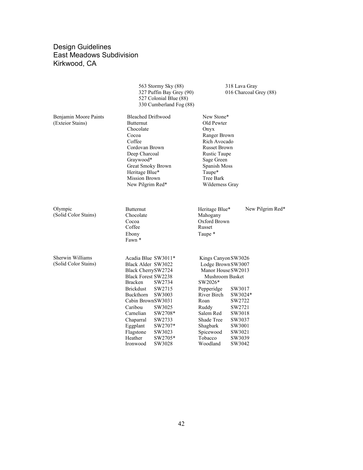|                                           | 563 Stormy Sky (88)<br>327 Puffin Bay Grey (90)<br>527 Colonial Blue (88)<br>330 Cumberland Fog (88)                                                                                                                                                                                                                                                       | 318 Lava Gray<br>016 Charcoal Grey (88)                                                                                                                                                                                                                                                                                     |
|-------------------------------------------|------------------------------------------------------------------------------------------------------------------------------------------------------------------------------------------------------------------------------------------------------------------------------------------------------------------------------------------------------------|-----------------------------------------------------------------------------------------------------------------------------------------------------------------------------------------------------------------------------------------------------------------------------------------------------------------------------|
| Benjamin Moore Paints<br>(Exteior Stains) | <b>Bleached Driftwood</b><br>Butternut<br>Chocolate<br>Cocoa<br>Coffee<br>Cordovan Brown<br>Deep Charcoal<br>Graywood*<br>Great Smoky Brown<br>Heritage Blue*<br>Mission Brown<br>New Pilgrim Red*                                                                                                                                                         | New Stone*<br>Old Pewter<br>Onyx<br>Ranger Brown<br>Rich Avocado<br><b>Russet Brown</b><br>Rustic Taupe<br>Sage Green<br>Spanish Moss<br>Taupe*<br>Tree Bark<br>Wilderness Gray                                                                                                                                             |
| Olympic<br>(Solid Color Stains)           | Butternut<br>Chocolate<br>Cocoa<br>Coffee<br>Ebony<br>Fawn <sup>*</sup>                                                                                                                                                                                                                                                                                    | New Pilgrim Red*<br>Heritage Blue*<br>Mahogany<br>Oxford Brown<br>Russet<br>Taupe *                                                                                                                                                                                                                                         |
| Sherwin Williams<br>(Solid Color Stains)  | Acadia Blue SW3011*<br>Black Alder SW3022<br>Black CherrySW2724<br><b>Black Forest SW2238</b><br><b>Bracken</b><br>SW2734<br>Brickdust<br>SW2715<br>Buckthorn<br>SW3003<br>Cabin BrownSW3031<br>Caribou<br>SW3025<br>Carnelian<br>SW2708*<br>Chaparral<br>SW2733<br>SW2707*<br>Eggplant<br>Flagstone<br>SW3023<br>Heather<br>SW2705*<br>SW3028<br>Ironwood | Kings Canyon SW3026<br>Lodge Brown SW3007<br>Manor House SW2013<br>Mushroom Basket<br>SW2026*<br>Pepperidge<br>SW3017<br>River Birch<br>SW3024*<br>Roan<br>SW2722<br>SW2721<br>Ruddy<br>Salem Red<br>SW3018<br>Shade Tree<br>SW3037<br>SW3001<br>Shagbark<br>Spicewood<br>SW3021<br>Tobacco<br>SW3039<br>Woodland<br>SW3042 |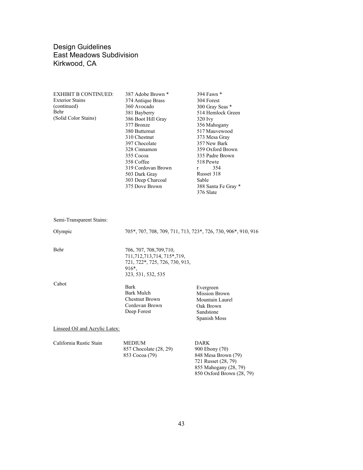| <b>EXHIBIT B CONTINUED:</b> | 387 Adobe Brown *              | 394 Fawn *                                                    |
|-----------------------------|--------------------------------|---------------------------------------------------------------|
| <b>Exterior Stains</b>      | 374 Antique Brass              | 304 Forest                                                    |
| (continued)                 | 360 Avocado                    | 300 Gray Seas *                                               |
| Behr                        | 381 Bayberry                   | 514 Hemlock Green                                             |
| (Solid Color Stains)        | 386 Boot Hill Gray             | $320$ Ivy                                                     |
|                             | 377 Bronze                     | 356 Mahogany                                                  |
|                             | 380 Butternut                  | 517 Mauvewood                                                 |
|                             | 310 Chestnut                   | 373 Mesa Gray                                                 |
|                             | 397 Chocolate                  | 357 New Bark                                                  |
|                             | 328 Cinnamon                   | 359 Oxford Brown                                              |
|                             | 355 Cocoa                      | 335 Padre Brown                                               |
|                             | 358 Coffee                     | 518 Pewte                                                     |
|                             | 319 Cordovan Brown             | 354<br>r                                                      |
|                             | 503 Dark Gray                  | Russet 318                                                    |
|                             | 303 Deep Charcoal              | Sable                                                         |
|                             | 375 Dove Brown                 | 388 Santa Fe Gray *                                           |
|                             |                                | 376 Slate                                                     |
|                             |                                |                                                               |
| Semi-Transparent Stains:    |                                |                                                               |
| Olympic                     |                                | 705*, 707, 708, 709, 711, 713, 723*, 726, 730, 906*, 910, 916 |
| Behr                        | 706, 707, 708, 709, 710,       |                                                               |
|                             | 711, 712, 713, 714, 715*, 719, |                                                               |
|                             | 721, 722*, 725, 726, 730, 913, |                                                               |
|                             | 916 <sup>*</sup> ,             |                                                               |
|                             | 323, 531, 532, 535             |                                                               |
| Cabot                       |                                |                                                               |
|                             | $D$ order                      |                                                               |

Bark Bark Mulch Chestnut Brown Cordovan Brown Deep Forest Evergreen Mission Brown Mountain Laurel Oak Brown Sandstone Spanish Moss

Linseed Oil and Acrylic Latex:

| California Rustic Stain | <b>MEDIUM</b>          | DARK                |  |
|-------------------------|------------------------|---------------------|--|
|                         | 857 Chocolate (28, 29) | 900 Ebony (70)      |  |
|                         | 853 Cocoa (79)         | 848 Mesa Brown (79) |  |
|                         |                        | 721 Russet (28, 79) |  |

 855 Mahogany (28, 79) 850 Oxford Brown (28, 79)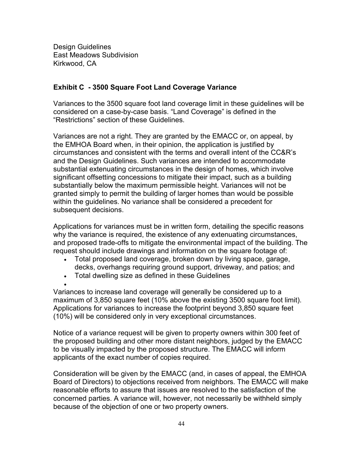# **Exhibit C - 3500 Square Foot Land Coverage Variance**

Variances to the 3500 square foot land coverage limit in these guidelines will be considered on a case-by-case basis. "Land Coverage" is defined in the "Restrictions" section of these Guidelines.

Variances are not a right. They are granted by the EMACC or, on appeal, by the EMHOA Board when, in their opinion, the application is justified by circumstances and consistent with the terms and overall intent of the CC&R's and the Design Guidelines. Such variances are intended to accommodate substantial extenuating circumstances in the design of homes, which involve significant offsetting concessions to mitigate their impact, such as a building substantially below the maximum permissible height. Variances will not be granted simply to permit the building of larger homes than would be possible within the guidelines. No variance shall be considered a precedent for subsequent decisions.

Applications for variances must be in written form, detailing the specific reasons why the variance is required, the existence of any extenuating circumstances, and proposed trade-offs to mitigate the environmental impact of the building. The request should include drawings and information on the square footage of:

- Total proposed land coverage, broken down by living space, garage, decks, overhangs requiring ground support, driveway, and patios; and
- Total dwelling size as defined in these Guidelines

•

Variances to increase land coverage will generally be considered up to a maximum of 3,850 square feet (10% above the existing 3500 square foot limit). Applications for variances to increase the footprint beyond 3,850 square feet (10%) will be considered only in very exceptional circumstances.

Notice of a variance request will be given to property owners within 300 feet of the proposed building and other more distant neighbors, judged by the EMACC to be visually impacted by the proposed structure. The EMACC will inform applicants of the exact number of copies required.

Consideration will be given by the EMACC (and, in cases of appeal, the EMHOA Board of Directors) to objections received from neighbors. The EMACC will make reasonable efforts to assure that issues are resolved to the satisfaction of the concerned parties. A variance will, however, not necessarily be withheld simply because of the objection of one or two property owners.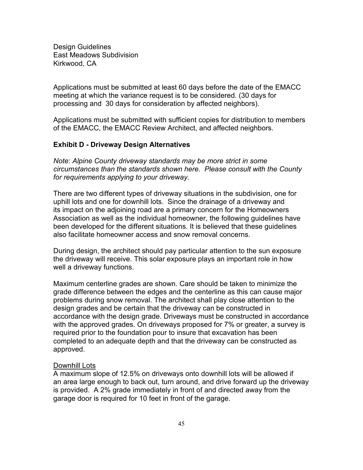Applications must be submitted at least 60 days before the date of the EMACC meeting at which the variance request is to be considered. (30 days for processing and 30 days for consideration by affected neighbors).

Applications must be submitted with sufficient copies for distribution to members of the EMACC, the EMACC Review Architect, and affected neighbors.

## **Exhibit D - Driveway Design Alternatives**

*Note: Alpine County driveway standards may be more strict in some circumstances than the standards shown here. Please consult with the County for requirements applying to your driveway.*

There are two different types of driveway situations in the subdivision, one for uphill lots and one for downhill lots. Since the drainage of a driveway and its impact on the adjoining road are a primary concern for the Homeowners Association as well as the individual homeowner, the following guidelines have been developed for the different situations. It is believed that these guidelines also facilitate homeowner access and snow removal concerns.

During design, the architect should pay particular attention to the sun exposure the driveway will receive. This solar exposure plays an important role in how well a driveway functions.

Maximum centerline grades are shown. Care should be taken to minimize the grade difference between the edges and the centerline as this can cause major problems during snow removal. The architect shall play close attention to the design grades and be certain that the driveway can be constructed in accordance with the design grade. Driveways must be constructed in accordance with the approved grades. On driveways proposed for 7% or greater, a survey is required prior to the foundation pour to insure that excavation has been completed to an adequate depth and that the driveway can be constructed as approved.

#### Downhill Lots

A maximum slope of 12.5% on driveways onto downhill lots will be allowed if an area large enough to back out, turn around, and drive forward up the driveway is provided. A 2% grade immediately in front of and directed away from the garage door is required for 10 feet in front of the garage.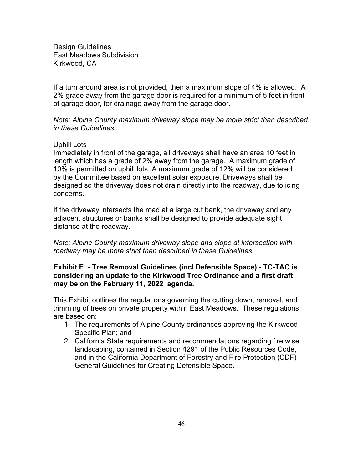If a turn around area is not provided, then a maximum slope of 4% is allowed. A 2% grade away from the garage door is required for a minimum of 5 feet in front of garage door, for drainage away from the garage door.

*Note: Alpine County maximum driveway slope may be more strict than described in these Guidelines.*

## Uphill Lots

Immediately in front of the garage, all driveways shall have an area 10 feet in length which has a grade of 2% away from the garage. A maximum grade of 10% is permitted on uphill lots. A maximum grade of 12% will be considered by the Committee based on excellent solar exposure. Driveways shall be designed so the driveway does not drain directly into the roadway, due to icing concerns.

If the driveway intersects the road at a large cut bank, the driveway and any adjacent structures or banks shall be designed to provide adequate sight distance at the roadway.

*Note: Alpine County maximum driveway slope and slope at intersection with roadway may be more strict than described in these Guidelines.*

# **Exhibit E - Tree Removal Guidelines (incl Defensible Space) - TC-TAC is considering an update to the Kirkwood Tree Ordinance and a first draft may be on the February 11, 2022 agenda.**

This Exhibit outlines the regulations governing the cutting down, removal, and trimming of trees on private property within East Meadows. These regulations are based on:

- 1. The requirements of Alpine County ordinances approving the Kirkwood Specific Plan; and
- 2. California State requirements and recommendations regarding fire wise landscaping, contained in Section 4291 of the Public Resources Code, and in the California Department of Forestry and Fire Protection (CDF) General Guidelines for Creating Defensible Space.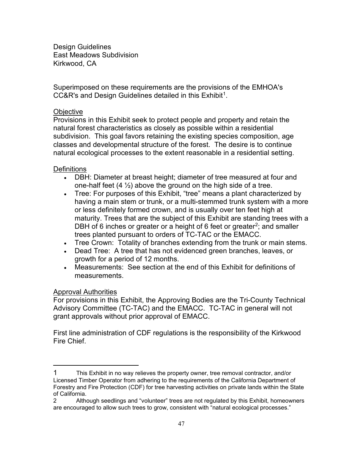Superimposed on these requirements are the provisions of the EMHOA's CC&R's and Design Guidelines detailed in this  $Exhibit<sup>1</sup>$ .

## **Objective**

Provisions in this Exhibit seek to protect people and property and retain the natural forest characteristics as closely as possible within a residential subdivision. This goal favors retaining the existing species composition, age classes and developmental structure of the forest. The desire is to continue natural ecological processes to the extent reasonable in a residential setting.

## **Definitions**

- DBH: Diameter at breast height; diameter of tree measured at four and one-half feet  $(4 \frac{1}{2})$  above the ground on the high side of a tree.
- Tree: For purposes of this Exhibit, "tree" means a plant characterized by having a main stem or trunk, or a multi-stemmed trunk system with a more or less definitely formed crown, and is usually over ten feet high at maturity. Trees that are the subject of this Exhibit are standing trees with a DBH of 6 inches or greater or a height of 6 feet or greater<sup>[2](#page-46-1)</sup>; and smaller trees planted pursuant to orders of TC-TAC or the EMACC.
- Tree Crown: Totality of branches extending from the trunk or main stems.
- Dead Tree: A tree that has not evidenced green branches, leaves, or growth for a period of 12 months.
- Measurements: See section at the end of this Exhibit for definitions of measurements.

## Approval Authorities

For provisions in this Exhibit, the Approving Bodies are the Tri-County Technical Advisory Committee (TC-TAC) and the EMACC. TC-TAC in general will not grant approvals without prior approval of EMACC.

First line administration of CDF regulations is the responsibility of the Kirkwood Fire Chief.

<span id="page-46-0"></span><sup>1</sup> This Exhibit in no way relieves the property owner, tree removal contractor, and/or Licensed Timber Operator from adhering to the requirements of the California Department of Forestry and Fire Protection (CDF) for tree harvesting activities on private lands within the State of California.

<span id="page-46-1"></span><sup>2</sup> Although seedlings and "volunteer" trees are not regulated by this Exhibit, homeowners are encouraged to allow such trees to grow, consistent with "natural ecological processes."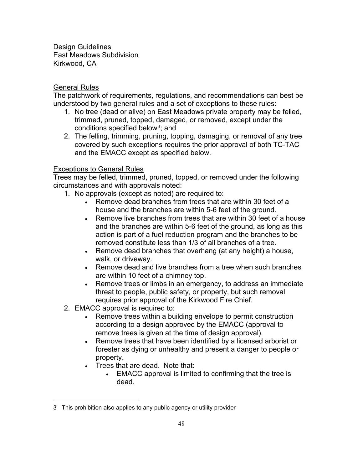# General Rules

The patchwork of requirements, regulations, and recommendations can best be understood by two general rules and a set of exceptions to these rules:

- 1. No tree (dead or alive) on East Meadows private property may be felled, trimmed, pruned, topped, damaged, or removed, except under the conditions specified below<sup>[3](#page-47-0)</sup>; and
- 2. The felling, trimming, pruning, topping, damaging, or removal of any tree covered by such exceptions requires the prior approval of both TC-TAC and the EMACC except as specified below.

# Exceptions to General Rules

Trees may be felled, trimmed, pruned, topped, or removed under the following circumstances and with approvals noted:

- 1. No approvals (except as noted) are required to:
	- Remove dead branches from trees that are within 30 feet of a house and the branches are within 5-6 feet of the ground.
	- Remove live branches from trees that are within 30 feet of a house and the branches are within 5-6 feet of the ground, as long as this action is part of a fuel reduction program and the branches to be removed constitute less than 1/3 of all branches of a tree.
	- Remove dead branches that overhang (at any height) a house, walk, or driveway.
	- Remove dead and live branches from a tree when such branches are within 10 feet of a chimney top.
	- Remove trees or limbs in an emergency, to address an immediate threat to people, public safety, or property, but such removal requires prior approval of the Kirkwood Fire Chief.
- 2. EMACC approval is required to:
	- Remove trees within a building envelope to permit construction according to a design approved by the EMACC (approval to remove trees is given at the time of design approval).
	- Remove trees that have been identified by a licensed arborist or forester as dying or unhealthy and present a danger to people or property.
	- Trees that are dead. Note that:
		- EMACC approval is limited to confirming that the tree is dead.

<span id="page-47-0"></span><sup>3</sup> This prohibition also applies to any public agency or utility provider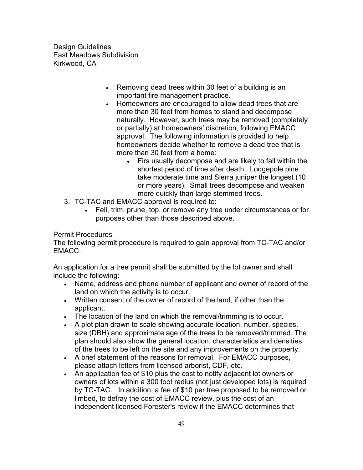- Removing dead trees within 30 feet of a building is an important fire management practice.
- Homeowners are encouraged to allow dead trees that are more than 30 feet from homes to stand and decompose naturally. However, such trees may be removed (completely or partially) at homeowners' discretion, following EMACC approval. The following information is provided to help homeowners decide whether to remove a dead tree that is more than 30 feet from a home:
	- Firs usually decompose and are likely to fall within the shortest period of time after death. Lodgepole pine take moderate time and Sierra juniper the longest (10 or more years). Small trees decompose and weaken more quickly than large stemmed trees.
- 3. TC-TAC and EMACC approval is required to:
	- Fell, trim, prune, top, or remove any tree under circumstances or for purposes other than those described above.

# **Permit Procedures**

The following permit procedure is required to gain approval from TC-TAC and/or EMACC.

An application for a tree permit shall be submitted by the lot owner and shall include the following:

- Name, address and phone number of applicant and owner of record of the land on which the activity is to occur.
- Written consent of the owner of record of the land, if other than the applicant.
- The location of the land on which the removal/trimming is to occur.
- A plot plan drawn to scale showing accurate location, number, species, size (DBH) and approximate age of the trees to be removed/trimmed. The plan should also show the general location, characteristics and densities of the trees to be left on the site and any improvements on the property.
- A brief statement of the reasons for removal. For EMACC purposes, please attach letters from licensed arborist, CDF, etc.
- An application fee of \$10 plus the cost to notify adjacent lot owners or owners of lots within a 300 foot radius (not just developed lots) is required by TC-TAC. In addition, a fee of \$10 per tree proposed to be removed or limbed, to defray the cost of EMACC review, plus the cost of an independent licensed Forester's review if the EMACC determines that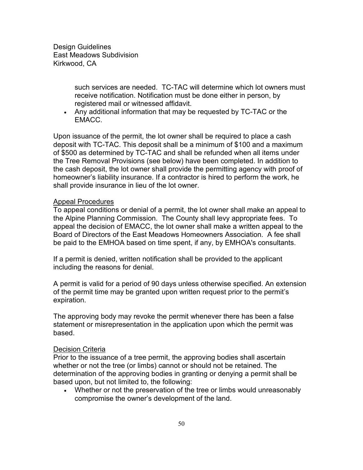> such services are needed. TC-TAC will determine which lot owners must receive notification. Notification must be done either in person, by registered mail or witnessed affidavit.

• Any additional information that may be requested by TC-TAC or the EMACC.

Upon issuance of the permit, the lot owner shall be required to place a cash deposit with TC-TAC. This deposit shall be a minimum of \$100 and a maximum of \$500 as determined by TC-TAC and shall be refunded when all items under the Tree Removal Provisions (see below) have been completed. In addition to the cash deposit, the lot owner shall provide the permitting agency with proof of homeowner's liability insurance. If a contractor is hired to perform the work, he shall provide insurance in lieu of the lot owner.

## Appeal Procedures

To appeal conditions or denial of a permit, the lot owner shall make an appeal to the Alpine Planning Commission. The County shall levy appropriate fees. To appeal the decision of EMACC, the lot owner shall make a written appeal to the Board of Directors of the East Meadows Homeowners Association. A fee shall be paid to the EMHOA based on time spent, if any, by EMHOA's consultants.

If a permit is denied, written notification shall be provided to the applicant including the reasons for denial.

A permit is valid for a period of 90 days unless otherwise specified. An extension of the permit time may be granted upon written request prior to the permit's expiration.

The approving body may revoke the permit whenever there has been a false statement or misrepresentation in the application upon which the permit was based.

## Decision Criteria

Prior to the issuance of a tree permit, the approving bodies shall ascertain whether or not the tree (or limbs) cannot or should not be retained. The determination of the approving bodies in granting or denying a permit shall be based upon, but not limited to, the following:

• Whether or not the preservation of the tree or limbs would unreasonably compromise the owner's development of the land.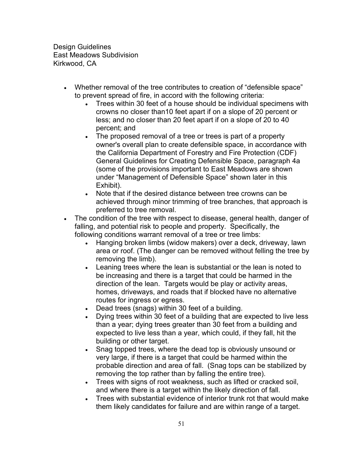- Whether removal of the tree contributes to creation of "defensible space" to prevent spread of fire, in accord with the following criteria:
	- Trees within 30 feet of a house should be individual specimens with crowns no closer than10 feet apart if on a slope of 20 percent or less; and no closer than 20 feet apart if on a slope of 20 to 40 percent; and
	- The proposed removal of a tree or trees is part of a property owner's overall plan to create defensible space, in accordance with the California Department of Forestry and Fire Protection (CDF) General Guidelines for Creating Defensible Space, paragraph 4a (some of the provisions important to East Meadows are shown under "Management of Defensible Space" shown later in this Exhibit).
	- Note that if the desired distance between tree crowns can be achieved through minor trimming of tree branches, that approach is preferred to tree removal.
- The condition of the tree with respect to disease, general health, danger of falling, and potential risk to people and property. Specifically, the following conditions warrant removal of a tree or tree limbs:
	- Hanging broken limbs (widow makers) over a deck, driveway, lawn area or roof. (The danger can be removed without felling the tree by removing the limb).
	- Leaning trees where the lean is substantial or the lean is noted to be increasing and there is a target that could be harmed in the direction of the lean. Targets would be play or activity areas, homes, driveways, and roads that if blocked have no alternative routes for ingress or egress.
	- Dead trees (snags) within 30 feet of a building.
	- Dying trees within 30 feet of a building that are expected to live less than a year; dying trees greater than 30 feet from a building and expected to live less than a year, which could, if they fall, hit the building or other target.
	- Snag topped trees, where the dead top is obviously unsound or very large, if there is a target that could be harmed within the probable direction and area of fall. (Snag tops can be stabilized by removing the top rather than by falling the entire tree).
	- Trees with signs of root weakness, such as lifted or cracked soil, and where there is a target within the likely direction of fall.
	- Trees with substantial evidence of interior trunk rot that would make them likely candidates for failure and are within range of a target.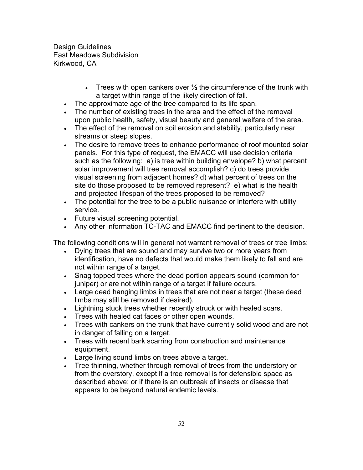- Trees with open cankers over  $\frac{1}{2}$  the circumference of the trunk with a target within range of the likely direction of fall.
- The approximate age of the tree compared to its life span.
- The number of existing trees in the area and the effect of the removal upon public health, safety, visual beauty and general welfare of the area.
- The effect of the removal on soil erosion and stability, particularly near streams or steep slopes.
- The desire to remove trees to enhance performance of roof mounted solar panels. For this type of request, the EMACC will use decision criteria such as the following: a) is tree within building envelope? b) what percent solar improvement will tree removal accomplish? c) do trees provide visual screening from adjacent homes? d) what percent of trees on the site do those proposed to be removed represent? e) what is the health and projected lifespan of the trees proposed to be removed?
- The potential for the tree to be a public nuisance or interfere with utility service.
- Future visual screening potential.
- Any other information TC-TAC and EMACC find pertinent to the decision.

The following conditions will in general not warrant removal of trees or tree limbs:

- Dying trees that are sound and may survive two or more years from identification, have no defects that would make them likely to fall and are not within range of a target.
- Snag topped trees where the dead portion appears sound (common for juniper) or are not within range of a target if failure occurs.
- Large dead hanging limbs in trees that are not near a target (these dead limbs may still be removed if desired).
- Lightning stuck trees whether recently struck or with healed scars.
- Trees with healed cat faces or other open wounds.
- Trees with cankers on the trunk that have currently solid wood and are not in danger of falling on a target.
- Trees with recent bark scarring from construction and maintenance equipment.
- Large living sound limbs on trees above a target.
- Tree thinning, whether through removal of trees from the understory or from the overstory, except if a tree removal is for defensible space as described above; or if there is an outbreak of insects or disease that appears to be beyond natural endemic levels.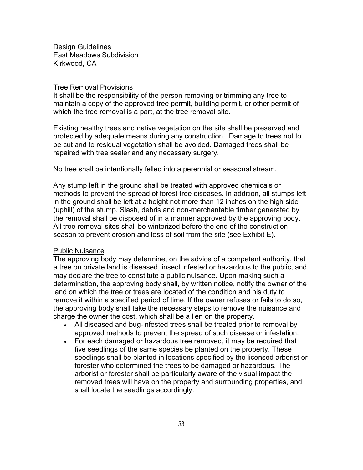## **Tree Removal Provisions**

It shall be the responsibility of the person removing or trimming any tree to maintain a copy of the approved tree permit, building permit, or other permit of which the tree removal is a part, at the tree removal site.

Existing healthy trees and native vegetation on the site shall be preserved and protected by adequate means during any construction. Damage to trees not to be cut and to residual vegetation shall be avoided. Damaged trees shall be repaired with tree sealer and any necessary surgery.

No tree shall be intentionally felled into a perennial or seasonal stream.

Any stump left in the ground shall be treated with approved chemicals or methods to prevent the spread of forest tree diseases. In addition, all stumps left in the ground shall be left at a height not more than 12 inches on the high side (uphill) of the stump. Slash, debris and non-merchantable timber generated by the removal shall be disposed of in a manner approved by the approving body. All tree removal sites shall be winterized before the end of the construction season to prevent erosion and loss of soil from the site (see Exhibit E).

## Public Nuisance

The approving body may determine, on the advice of a competent authority, that a tree on private land is diseased, insect infested or hazardous to the public, and may declare the tree to constitute a public nuisance. Upon making such a determination, the approving body shall, by written notice, notify the owner of the land on which the tree or trees are located of the condition and his duty to remove it within a specified period of time. If the owner refuses or fails to do so, the approving body shall take the necessary steps to remove the nuisance and charge the owner the cost, which shall be a lien on the property.

- All diseased and bug-infested trees shall be treated prior to removal by approved methods to prevent the spread of such disease or infestation.
- For each damaged or hazardous tree removed, it may be required that five seedlings of the same species be planted on the property. These seedlings shall be planted in locations specified by the licensed arborist or forester who determined the trees to be damaged or hazardous. The arborist or forester shall be particularly aware of the visual impact the removed trees will have on the property and surrounding properties, and shall locate the seedlings accordingly.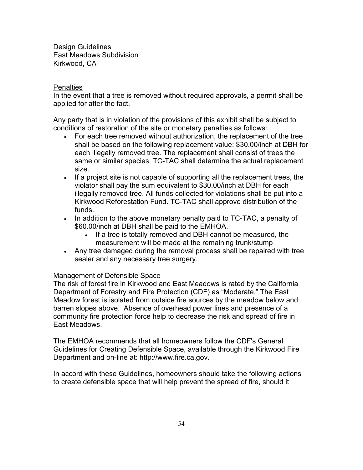## **Penalties**

In the event that a tree is removed without required approvals, a permit shall be applied for after the fact.

Any party that is in violation of the provisions of this exhibit shall be subject to conditions of restoration of the site or monetary penalties as follows:

- For each tree removed without authorization, the replacement of the tree shall be based on the following replacement value: \$30.00/inch at DBH for each illegally removed tree. The replacement shall consist of trees the same or similar species. TC-TAC shall determine the actual replacement size.
- If a project site is not capable of supporting all the replacement trees, the violator shall pay the sum equivalent to \$30.00/inch at DBH for each illegally removed tree. All funds collected for violations shall be put into a Kirkwood Reforestation Fund. TC-TAC shall approve distribution of the funds.
- In addition to the above monetary penalty paid to TC-TAC, a penalty of \$60.00/inch at DBH shall be paid to the EMHOA.
	- If a tree is totally removed and DBH cannot be measured, the measurement will be made at the remaining trunk/stump
- Any tree damaged during the removal process shall be repaired with tree sealer and any necessary tree surgery.

# Management of Defensible Space

The risk of forest fire in Kirkwood and East Meadows is rated by the California Department of Forestry and Fire Protection (CDF) as "Moderate." The East Meadow forest is isolated from outside fire sources by the meadow below and barren slopes above. Absence of overhead power lines and presence of a community fire protection force help to decrease the risk and spread of fire in East Meadows.

The EMHOA recommends that all homeowners follow the CDF's General Guidelines for Creating Defensible Space, available through the Kirkwood Fire Department and on-line at: http://www.fire.ca.gov.

In accord with these Guidelines, homeowners should take the following actions to create defensible space that will help prevent the spread of fire, should it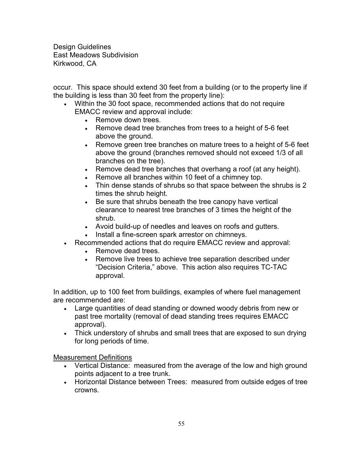occur. This space should extend 30 feet from a building (or to the property line if the building is less than 30 feet from the property line):

- Within the 30 foot space, recommended actions that do not require EMACC review and approval include:
	- Remove down trees.
	- Remove dead tree branches from trees to a height of 5-6 feet above the ground.
	- Remove green tree branches on mature trees to a height of 5-6 feet above the ground (branches removed should not exceed 1/3 of all branches on the tree).
	- Remove dead tree branches that overhang a roof (at any height).
	- Remove all branches within 10 feet of a chimney top.
	- Thin dense stands of shrubs so that space between the shrubs is 2 times the shrub height.
	- Be sure that shrubs beneath the tree canopy have vertical clearance to nearest tree branches of 3 times the height of the shrub.
	- Avoid build-up of needles and leaves on roofs and gutters.
	- Install a fine-screen spark arrestor on chimneys.
- Recommended actions that do require EMACC review and approval:
	- Remove dead trees
	- Remove live trees to achieve tree separation described under "Decision Criteria," above. This action also requires TC-TAC approval.

In addition, up to 100 feet from buildings, examples of where fuel management are recommended are:

- Large quantities of dead standing or downed woody debris from new or past tree mortality (removal of dead standing trees requires EMACC approval).
- Thick understory of shrubs and small trees that are exposed to sun drying for long periods of time.

Measurement Definitions

- Vertical Distance: measured from the average of the low and high ground points adjacent to a tree trunk.
- Horizontal Distance between Trees: measured from outside edges of tree crowns.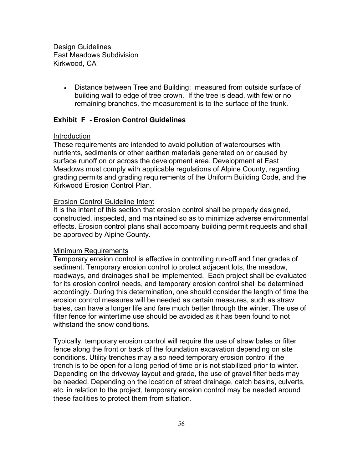> • Distance between Tree and Building: measured from outside surface of building wall to edge of tree crown. If the tree is dead, with few or no remaining branches, the measurement is to the surface of the trunk.

## **Exhibit F - Erosion Control Guidelines**

#### Introduction

These requirements are intended to avoid pollution of watercourses with nutrients, sediments or other earthen materials generated on or caused by surface runoff on or across the development area. Development at East Meadows must comply with applicable regulations of Alpine County, regarding grading permits and grading requirements of the Uniform Building Code, and the Kirkwood Erosion Control Plan.

#### Erosion Control Guideline Intent

It is the intent of this section that erosion control shall be properly designed, constructed, inspected, and maintained so as to minimize adverse environmental effects. Erosion control plans shall accompany building permit requests and shall be approved by Alpine County.

#### Minimum Requirements

Temporary erosion control is effective in controlling run-off and finer grades of sediment. Temporary erosion control to protect adjacent lots, the meadow, roadways, and drainages shall be implemented. Each project shall be evaluated for its erosion control needs, and temporary erosion control shall be determined accordingly. During this determination, one should consider the length of time the erosion control measures will be needed as certain measures, such as straw bales, can have a longer life and fare much better through the winter. The use of filter fence for wintertime use should be avoided as it has been found to not withstand the snow conditions.

Typically, temporary erosion control will require the use of straw bales or filter fence along the front or back of the foundation excavation depending on site conditions. Utility trenches may also need temporary erosion control if the trench is to be open for a long period of time or is not stabilized prior to winter. Depending on the driveway layout and grade, the use of gravel filter beds may be needed. Depending on the location of street drainage, catch basins, culverts, etc. in relation to the project, temporary erosion control may be needed around these facilities to protect them from siltation.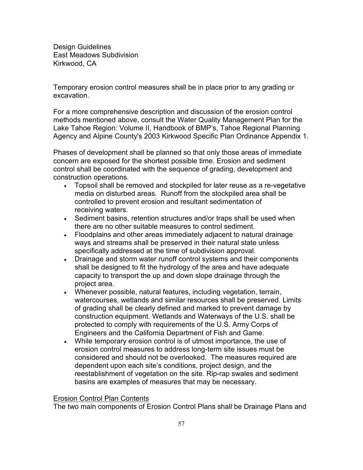Temporary erosion control measures shall be in place prior to any grading or excavation.

For a more comprehensive description and discussion of the erosion control methods mentioned above, consult the Water Quality Management Plan for the Lake Tahoe Region: Volume II, Handbook of BMP's, Tahoe Regional Planning Agency and Alpine County's 2003 Kirkwood Specific Plan Ordinance Appendix 1.

Phases of development shall be planned so that only those areas of immediate concern are exposed for the shortest possible time. Erosion and sediment control shall be coordinated with the sequence of grading, development and construction operations.

- Topsoil shall be removed and stockpiled for later reuse as a re-vegetative media on disturbed areas. Runoff from the stockpiled area shall be controlled to prevent erosion and resultant sedimentation of receiving waters.
- Sediment basins, retention structures and/or traps shall be used when there are no other suitable measures to control sediment.
- Floodplains and other areas immediately adjacent to natural drainage ways and streams shall be preserved in their natural state unless specifically addressed at the time of subdivision approval.
- Drainage and storm water runoff control systems and their components shall be designed to fit the hydrology of the area and have adequate capacity to transport the up and down slope drainage through the project area.
- Whenever possible, natural features, including vegetation, terrain, watercourses, wetlands and similar resources shall be preserved. Limits of grading shall be clearly defined and marked to prevent damage by construction equipment. Wetlands and Waterways of the U.S. shall be protected to comply with requirements of the U.S. Army Corps of Engineers and the California Department of Fish and Game.
- While temporary erosion control is of utmost importance, the use of erosion control measures to address long-term site issues must be considered and should not be overlooked. The measures required are dependent upon each site's conditions, project design, and the reestablishment of vegetation on the site. Rip-rap swales and sediment basins are examples of measures that may be necessary.

# Erosion Control Plan Contents

The two main components of Erosion Control Plans shall be Drainage Plans and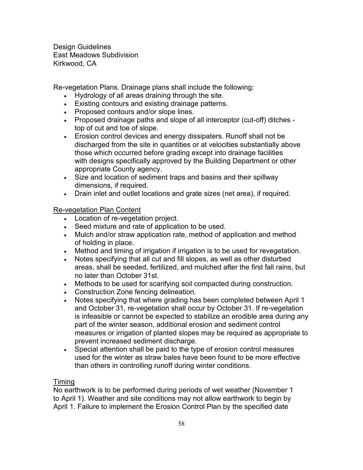Re-vegetation Plans. Drainage plans shall include the following:

- Hydrology of all areas draining through the site.
- Existing contours and existing drainage patterns.
- Proposed contours and/or slope lines.
- Proposed drainage paths and slope of all interceptor (cut-off) ditches top of cut and toe of slope.
- Erosion control devices and energy dissipaters. Runoff shall not be discharged from the site in quantities or at velocities substantially above those which occurred before grading except into drainage facilities with designs specifically approved by the Building Department or other appropriate County agency.
- Size and location of sediment traps and basins and their spillway dimensions, if required.
- Drain inlet and outlet locations and grate sizes (net area), if required.

# Re-vegetation Plan Content

- Location of re-vegetation project.
- Seed mixture and rate of application to be used.
- Mulch and/or straw application rate, method of application and method of holding in place.
- Method and timing of irrigation if irrigation is to be used for revegetation.
- Notes specifying that all cut and fill slopes, as well as other disturbed areas, shall be seeded, fertilized, and mulched after the first fall rains, but no later than October 31st.
- Methods to be used for scarifying soil compacted during construction.
- Construction Zone fencing delineation.
- Notes specifying that where grading has been completed between April 1 and October 31, re-vegetation shall occur by October 31. If re-vegetation is infeasible or cannot be expected to stabilize an erodible area during any part of the winter season, additional erosion and sediment control measures or irrigation of planted slopes may be required as appropriate to prevent increased sediment discharge.
- Special attention shall be paid to the type of erosion control measures used for the winter as straw bales have been found to be more effective than others in controlling runoff during winter conditions.

# Timing

No earthwork is to be performed during periods of wet weather (November 1 to April 1). Weather and site conditions may not allow earthwork to begin by April 1. Failure to implement the Erosion Control Plan by the specified date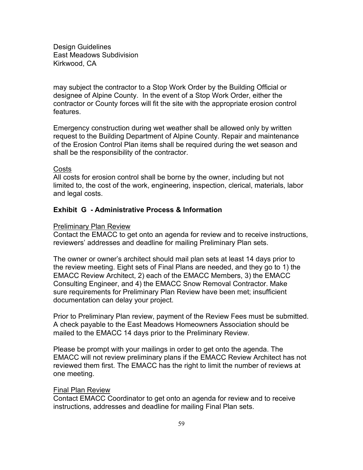may subject the contractor to a Stop Work Order by the Building Official or designee of Alpine County. In the event of a Stop Work Order, either the contractor or County forces will fit the site with the appropriate erosion control features.

Emergency construction during wet weather shall be allowed only by written request to the Building Department of Alpine County. Repair and maintenance of the Erosion Control Plan items shall be required during the wet season and shall be the responsibility of the contractor.

# **Costs**

All costs for erosion control shall be borne by the owner, including but not limited to, the cost of the work, engineering, inspection, clerical, materials, labor and legal costs.

## **Exhibit G - Administrative Process & Information**

#### Preliminary Plan Review

Contact the EMACC to get onto an agenda for review and to receive instructions, reviewers' addresses and deadline for mailing Preliminary Plan sets.

The owner or owner's architect should mail plan sets at least 14 days prior to the review meeting. Eight sets of Final Plans are needed, and they go to 1) the EMACC Review Architect, 2) each of the EMACC Members, 3) the EMACC Consulting Engineer, and 4) the EMACC Snow Removal Contractor. Make sure requirements for Preliminary Plan Review have been met; insufficient documentation can delay your project.

Prior to Preliminary Plan review, payment of the Review Fees must be submitted. A check payable to the East Meadows Homeowners Association should be mailed to the EMACC 14 days prior to the Preliminary Review.

Please be prompt with your mailings in order to get onto the agenda. The EMACC will not review preliminary plans if the EMACC Review Architect has not reviewed them first. The EMACC has the right to limit the number of reviews at one meeting.

#### Final Plan Review

Contact EMACC Coordinator to get onto an agenda for review and to receive instructions, addresses and deadline for mailing Final Plan sets.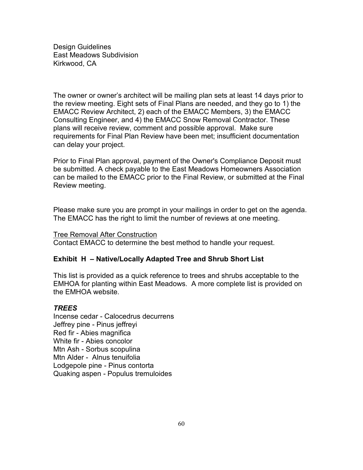The owner or owner's architect will be mailing plan sets at least 14 days prior to the review meeting. Eight sets of Final Plans are needed, and they go to 1) the EMACC Review Architect, 2) each of the EMACC Members, 3) the EMACC Consulting Engineer, and 4) the EMACC Snow Removal Contractor. These plans will receive review, comment and possible approval. Make sure requirements for Final Plan Review have been met; insufficient documentation can delay your project.

Prior to Final Plan approval, payment of the Owner's Compliance Deposit must be submitted. A check payable to the East Meadows Homeowners Association can be mailed to the EMACC prior to the Final Review, or submitted at the Final Review meeting.

Please make sure you are prompt in your mailings in order to get on the agenda. The EMACC has the right to limit the number of reviews at one meeting.

Tree Removal After Construction Contact EMACC to determine the best method to handle your request.

# **Exhibit H – Native/Locally Adapted Tree and Shrub Short List**

This list is provided as a quick reference to trees and shrubs acceptable to the EMHOA for planting within East Meadows. A more complete list is provided on the EMHOA website.

# *TREES*

Incense cedar - Calocedrus decurrens Jeffrey pine - Pinus jeffreyi Red fir - Abies magnifica White fir - Abies concolor Mtn Ash - Sorbus scopulina Mtn Alder - Alnus tenuifolia Lodgepole pine - Pinus contorta Quaking aspen - Populus tremuloides